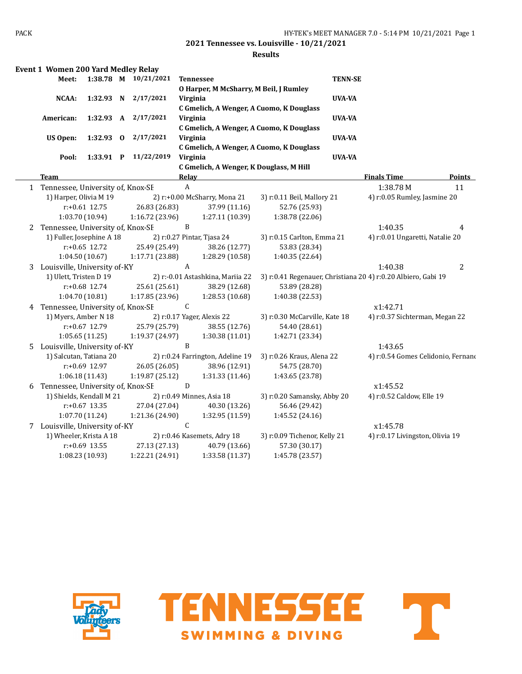|    | <b>Event 1 Women 200 Yard Medley Relay</b> |                  |                      |              |                                         |                                          |                |                                                               |               |
|----|--------------------------------------------|------------------|----------------------|--------------|-----------------------------------------|------------------------------------------|----------------|---------------------------------------------------------------|---------------|
|    | Meet:                                      |                  | 1:38.78 M 10/21/2021 |              | <b>Tennessee</b>                        |                                          | <b>TENN-SE</b> |                                                               |               |
|    |                                            |                  |                      |              | O Harper, M McSharry, M Beil, J Rumley  |                                          |                |                                                               |               |
|    | <b>NCAA:</b>                               | 1:32.93 N        | 2/17/2021            | Virginia     |                                         |                                          | UVA-VA         |                                                               |               |
|    |                                            |                  |                      |              |                                         | C Gmelich, A Wenger, A Cuomo, K Douglass |                |                                                               |               |
|    | American:                                  | 1:32.93 A        | 2/17/2021            | Virginia     |                                         |                                          | UVA-VA         |                                                               |               |
|    |                                            |                  |                      |              |                                         | C Gmelich, A Wenger, A Cuomo, K Douglass |                |                                                               |               |
|    | <b>US Open:</b>                            |                  | 1:32.93 0 2/17/2021  | Virginia     |                                         |                                          | UVA-VA         |                                                               |               |
|    |                                            |                  |                      |              |                                         | C Gmelich, A Wenger, A Cuomo, K Douglass |                |                                                               |               |
|    | Pool:                                      | 1:33.91 P        | 11/22/2019           | Virginia     |                                         |                                          | <b>UVA-VA</b>  |                                                               |               |
|    |                                            |                  |                      |              | C Gmelich, A Wenger, K Douglass, M Hill |                                          |                |                                                               |               |
|    | <b>Team</b>                                |                  |                      | Relay        |                                         |                                          |                | <b>Finals Time</b>                                            | <b>Points</b> |
|    | 1 Tennessee, University of, Knox-SF        |                  |                      | $\mathbf{A}$ |                                         |                                          |                | 1:38.78M                                                      | 11            |
|    | 1) Harper, Olivia M 19                     |                  |                      |              | 2) r:+0.00 McSharry, Mona 21            | 3) r:0.11 Beil, Mallory 21               |                | 4) r:0.05 Rumley, Jasmine 20                                  |               |
|    |                                            | $r: +0.61$ 12.75 | 26.83 (26.83)        |              | 37.99 (11.16)                           | 52.76 (25.93)                            |                |                                                               |               |
|    |                                            | 1:03.70 (10.94)  | 1:16.72(23.96)       |              | 1:27.11 (10.39)                         | 1:38.78 (22.06)                          |                |                                                               |               |
|    | 2 Tennessee, University of, Knox-SF        |                  |                      | B            |                                         |                                          |                | 1:40.35                                                       | 4             |
|    | 1) Fuller, Josephine A 18                  |                  |                      |              | 2) r:0.27 Pintar, Tjasa 24              | 3) r:0.15 Carlton, Emma 21               |                | 4) r:0.01 Ungaretti, Natalie 20                               |               |
|    |                                            | $r: +0.65$ 12.72 | 25.49 (25.49)        |              | 38.26 (12.77)                           | 53.83 (28.34)                            |                |                                                               |               |
|    |                                            | 1:04.50(10.67)   | 1:17.71 (23.88)      |              | 1:28.29 (10.58)                         | 1:40.35 (22.64)                          |                |                                                               |               |
|    | 3 Louisville, University of-KY             |                  |                      | A            |                                         |                                          |                | 1:40.38                                                       | 2             |
|    | 1) Ulett, Tristen D 19                     |                  |                      |              | 2) r:-0.01 Astashkina, Mariia 22        |                                          |                | 3) r:0.41 Regenauer, Christiana 20 4) r:0.20 Albiero, Gabi 19 |               |
|    |                                            | $r: +0.68$ 12.74 | 25.61 (25.61)        |              | 38.29 (12.68)                           | 53.89 (28.28)                            |                |                                                               |               |
|    |                                            | 1:04.70(10.81)   | 1:17.85(23.96)       |              | 1:28.53(10.68)                          | 1:40.38 (22.53)                          |                |                                                               |               |
|    | 4 Tennessee, University of, Knox-SE        |                  |                      | C.           |                                         |                                          |                | x1:42.71                                                      |               |
|    | 1) Myers, Amber N 18                       |                  |                      |              | 2) r:0.17 Yager, Alexis 22              | 3) r:0.30 McCarville, Kate 18            |                | 4) r:0.37 Sichterman, Megan 22                                |               |
|    |                                            | $r: +0.67$ 12.79 | 25.79 (25.79)        |              | 38.55 (12.76)                           | 54.40 (28.61)                            |                |                                                               |               |
|    |                                            | 1:05.65(11.25)   | 1:19.37 (24.97)      |              | 1:30.38 (11.01)                         | 1:42.71 (23.34)                          |                |                                                               |               |
| 5. | Louisville, University of-KY               |                  |                      | B            |                                         |                                          |                | 1:43.65                                                       |               |
|    | 1) Salcutan, Tatiana 20                    |                  |                      |              | 2) r:0.24 Farrington, Adeline 19        | 3) r:0.26 Kraus, Alena 22                |                | 4) r:0.54 Gomes Celidonio, Fernano                            |               |
|    |                                            | r:+0.69 12.97    | 26.05 (26.05)        |              | 38.96 (12.91)                           | 54.75 (28.70)                            |                |                                                               |               |
|    |                                            | 1:06.18(11.43)   | 1:19.87(25.12)       |              | 1:31.33(11.46)                          | 1:43.65 (23.78)                          |                |                                                               |               |
|    | 6 Tennessee, University of, Knox-SF        |                  |                      | D            |                                         |                                          |                | x1:45.52                                                      |               |
|    | 1) Shields, Kendall M 21                   |                  |                      |              | 2) r:0.49 Minnes, Asia 18               | 3) r:0.20 Samansky, Abby 20              |                | 4) r:0.52 Caldow, Elle 19                                     |               |
|    |                                            | $r: +0.67$ 13.35 | 27.04 (27.04)        |              | 40.30 (13.26)                           | 56.46 (29.42)                            |                |                                                               |               |
|    |                                            | 1:07.70 (11.24)  | 1:21.36 (24.90)      |              | 1:32.95 (11.59)                         | 1:45.52 (24.16)                          |                |                                                               |               |
|    | 7 Louisville, University of-KY             |                  |                      | $\mathsf C$  |                                         |                                          |                | x1:45.78                                                      |               |
|    | 1) Wheeler, Krista A 18                    |                  |                      |              | 2) r:0.46 Kasemets, Adry 18             | 3) r:0.09 Tichenor, Kelly 21             |                | 4) r:0.17 Livingston, Olivia 19                               |               |
|    |                                            |                  |                      |              |                                         |                                          |                |                                                               |               |
|    |                                            | $r: +0.69$ 13.55 | 27.13 (27.13)        |              | 40.79 (13.66)                           | 57.30 (30.17)                            |                |                                                               |               |





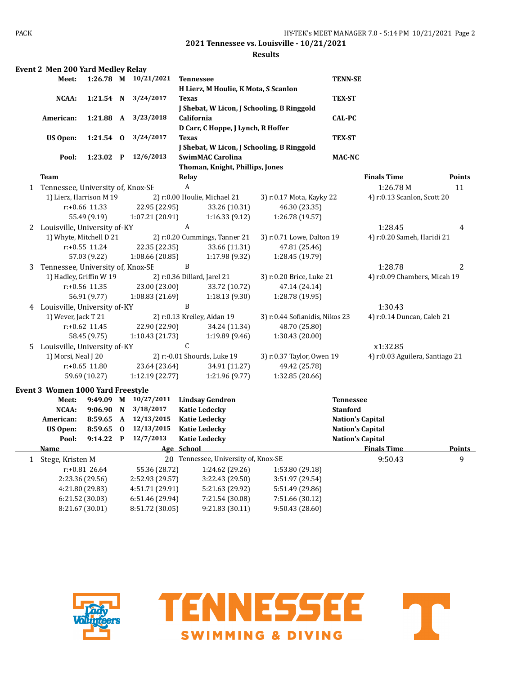|              | <b>Event 2 Men 200 Yard Medley Relay</b> |                  |              |                      |                                            |                                |                         |                                 |               |
|--------------|------------------------------------------|------------------|--------------|----------------------|--------------------------------------------|--------------------------------|-------------------------|---------------------------------|---------------|
|              | Meet:                                    |                  |              | 1:26.78 M 10/21/2021 | <b>Tennessee</b>                           |                                | <b>TENN-SE</b>          |                                 |               |
|              |                                          |                  |              |                      | H Lierz, M Houlie, K Mota, S Scanlon       |                                |                         |                                 |               |
|              | NCAA:                                    | 1:21.54 N        |              | 3/24/2017            | <b>Texas</b>                               |                                | <b>TEX-ST</b>           |                                 |               |
|              |                                          |                  |              |                      | J Shebat, W Licon, J Schooling, B Ringgold |                                |                         |                                 |               |
|              | American:                                | 1:21.88 A        |              | 3/23/2018            | California                                 |                                | <b>CAL-PC</b>           |                                 |               |
|              |                                          |                  |              |                      | D Carr, C Hoppe, J Lynch, R Hoffer         |                                |                         |                                 |               |
|              | <b>US Open:</b>                          | $1:21.54$ 0      |              | 3/24/2017            | <b>Texas</b>                               |                                | <b>TEX-ST</b>           |                                 |               |
|              |                                          |                  |              |                      | J Shebat, W Licon, J Schooling, B Ringgold |                                |                         |                                 |               |
|              | Pool:                                    | 1:23.02 P        |              | 12/6/2013            | <b>SwimMAC Carolina</b>                    |                                | <b>MAC-NC</b>           |                                 |               |
|              |                                          |                  |              |                      | Thoman, Knight, Phillips, Jones            |                                |                         |                                 |               |
|              | Team                                     |                  |              |                      | <b>Relay</b>                               |                                |                         | <b>Finals Time</b>              | <b>Points</b> |
|              | 1 Tennessee, University of, Knox-SE      |                  |              |                      | $\boldsymbol{A}$                           |                                |                         | 1:26.78M                        | 11            |
|              | 1) Lierz, Harrison M 19                  |                  |              |                      | 2) r:0.00 Houlie, Michael 21               | 3) r:0.17 Mota, Kayky 22       |                         | 4) r:0.13 Scanlon, Scott 20     |               |
|              |                                          | r:+0.66 11.33    |              | 22.95 (22.95)        | 33.26 (10.31)                              | 46.30 (23.35)                  |                         |                                 |               |
|              |                                          | 55.49 (9.19)     |              | 1:07.21 (20.91)      | 1:16.33(9.12)                              | 1:26.78 (19.57)                |                         |                                 |               |
|              | 2 Louisville, University of-KY           |                  |              |                      | A                                          |                                |                         | 1:28.45                         | 4             |
|              | 1) Whyte, Mitchell D 21                  |                  |              |                      | 2) r:0.20 Cummings, Tanner 21              | 3) r:0.71 Lowe, Dalton 19      |                         | 4) r:0.20 Sameh, Haridi 21      |               |
|              |                                          | $r: +0.55$ 11.24 |              | 22.35 (22.35)        | 33.66 (11.31)                              | 47.81 (25.46)                  |                         |                                 |               |
|              |                                          | 57.03 (9.22)     |              | 1:08.66 (20.85)      | 1:17.98 (9.32)                             | 1:28.45 (19.79)                |                         |                                 |               |
| 3            | Tennessee, University of, Knox-SF        |                  |              |                      | B                                          |                                |                         | 1:28.78                         | 2             |
|              | 1) Hadley, Griffin W 19                  |                  |              |                      | 2) r:0.36 Dillard, Jarel 21                | 3) r:0.20 Brice, Luke 21       |                         | 4) r:0.09 Chambers, Micah 19    |               |
|              |                                          | r:+0.56 11.35    |              | 23.00 (23.00)        | 33.72 (10.72)                              | 47.14 (24.14)                  |                         |                                 |               |
|              |                                          | 56.91 (9.77)     |              | 1:08.83 (21.69)      | 1:18.13(9.30)                              | 1:28.78 (19.95)                |                         |                                 |               |
|              | 4 Louisville, University of-KY           |                  |              |                      | B                                          |                                |                         | 1:30.43                         |               |
|              | 1) Wever, Jack T 21                      |                  |              |                      | 2) r:0.13 Kreiley, Aidan 19                | 3) r:0.44 Sofianidis, Nikos 23 |                         | 4) r:0.14 Duncan, Caleb 21      |               |
|              |                                          | r:+0.62 11.45    |              | 22.90 (22.90)        | 34.24 (11.34)                              | 48.70 (25.80)                  |                         |                                 |               |
|              |                                          | 58.45 (9.75)     |              | 1:10.43 (21.73)      | 1:19.89 (9.46)                             | 1:30.43 (20.00)                |                         |                                 |               |
|              | 5 Louisville, University of-KY           |                  |              |                      | C                                          |                                |                         | x1:32.85                        |               |
|              | 1) Morsi, Neal J 20                      |                  |              |                      | 2) r:-0.01 Shourds, Luke 19                | 3) r:0.37 Taylor, Owen 19      |                         | 4) r:0.03 Aguilera, Santiago 21 |               |
|              |                                          | $r: +0.65$ 11.80 |              | 23.64 (23.64)        | 34.91 (11.27)                              | 49.42 (25.78)                  |                         |                                 |               |
|              |                                          | 59.69 (10.27)    |              | 1:12.19 (22.77)      | 1:21.96 (9.77)                             | 1:32.85 (20.66)                |                         |                                 |               |
|              |                                          |                  |              |                      |                                            |                                |                         |                                 |               |
|              | Event 3 Women 1000 Yard Freestyle        |                  |              |                      |                                            |                                |                         |                                 |               |
|              | Meet:                                    |                  |              | 9:49.09 M 10/27/2011 | <b>Lindsay Gendron</b>                     |                                | <b>Tennessee</b>        |                                 |               |
|              | NCAA:                                    | 9:06.90 N        |              | 3/18/2017            | <b>Katie Ledecky</b>                       |                                | <b>Stanford</b>         |                                 |               |
|              | American:                                | 8:59.65          | A            | 12/13/2015           | <b>Katie Ledecky</b>                       |                                | <b>Nation's Capital</b> |                                 |               |
|              | <b>US Open:</b>                          | 8:59.65          | $\bf{0}$     | 12/13/2015           | <b>Katie Ledecky</b>                       |                                | <b>Nation's Capital</b> |                                 |               |
|              | Pool:                                    | 9:14.22          | $\mathbf{P}$ | 12/7/2013            | <b>Katie Ledecky</b>                       |                                | <b>Nation's Capital</b> |                                 |               |
|              | <u>Name</u>                              |                  |              |                      | Age School                                 |                                |                         | <b>Finals Time</b>              | <b>Points</b> |
| $\mathbf{1}$ | Stege, Kristen M                         |                  |              |                      | 20 Tennessee, University of, Knox-SE       |                                |                         | 9:50.43                         | 9             |
|              |                                          | r:+0.81 26.64    |              | 55.36 (28.72)        | 1:24.62 (29.26)                            | 1:53.80 (29.18)                |                         |                                 |               |
|              |                                          | 2:23.36 (29.56)  |              | 2:52.93 (29.57)      | 3:22.43 (29.50)                            | 3:51.97 (29.54)                |                         |                                 |               |
|              |                                          | 4:21.80 (29.83)  |              | 4:51.71 (29.91)      | 5:21.63 (29.92)                            | 5:51.49 (29.86)                |                         |                                 |               |
|              |                                          | 6:21.52 (30.03)  |              | 6:51.46 (29.94)      | 7:21.54 (30.08)                            | 7:51.66 (30.12)                |                         |                                 |               |
|              |                                          | 8:21.67 (30.01)  |              | 8:51.72 (30.05)      | 9:21.83 (30.11)                            | 9:50.43 (28.60)                |                         |                                 |               |





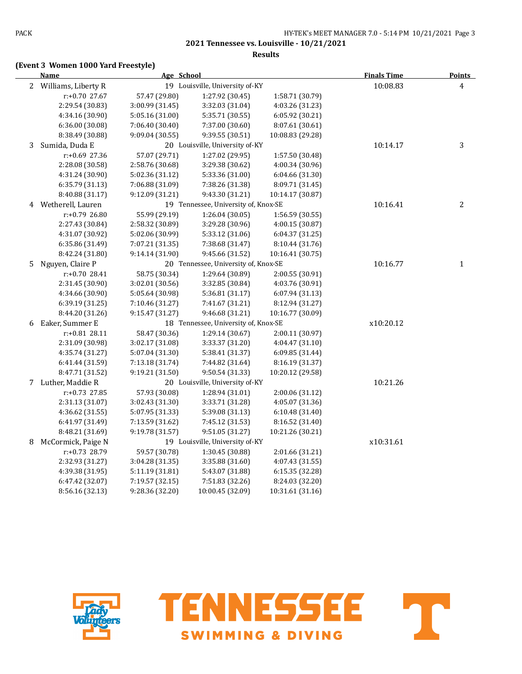### **Results**

# **(Event 3 Women 1000 Yard Freestyle)**

|   | <b>Name</b>           | Age School      |                                      |                  | <b>Finals Time</b> | <b>Points</b>  |
|---|-----------------------|-----------------|--------------------------------------|------------------|--------------------|----------------|
|   | 2 Williams, Liberty R |                 | 19 Louisville, University of-KY      |                  | 10:08.83           | 4              |
|   | r:+0.70 27.67         | 57.47 (29.80)   | 1:27.92 (30.45)                      | 1:58.71 (30.79)  |                    |                |
|   | 2:29.54 (30.83)       | 3:00.99 (31.45) | 3:32.03 (31.04)                      | 4:03.26 (31.23)  |                    |                |
|   | 4:34.16 (30.90)       | 5:05.16 (31.00) | 5:35.71 (30.55)                      | 6:05.92 (30.21)  |                    |                |
|   | 6:36.00 (30.08)       | 7:06.40 (30.40) | 7:37.00 (30.60)                      | 8:07.61 (30.61)  |                    |                |
|   | 8:38.49 (30.88)       | 9:09.04 (30.55) | 9:39.55 (30.51)                      | 10:08.83 (29.28) |                    |                |
| 3 | Sumida, Duda E        |                 | 20 Louisville, University of-KY      |                  | 10:14.17           | 3              |
|   | r:+0.69 27.36         | 57.07 (29.71)   | 1:27.02 (29.95)                      | 1:57.50 (30.48)  |                    |                |
|   | 2:28.08 (30.58)       | 2:58.76 (30.68) | 3:29.38 (30.62)                      | 4:00.34 (30.96)  |                    |                |
|   | 4:31.24 (30.90)       | 5:02.36 (31.12) | 5:33.36 (31.00)                      | 6:04.66 (31.30)  |                    |                |
|   | 6:35.79 (31.13)       | 7:06.88 (31.09) | 7:38.26 (31.38)                      | 8:09.71 (31.45)  |                    |                |
|   | 8:40.88 (31.17)       | 9:12.09 (31.21) | 9:43.30 (31.21)                      | 10:14.17 (30.87) |                    |                |
| 4 | Wetherell, Lauren     |                 | 19 Tennessee, University of, Knox-SE |                  | 10:16.41           | $\overline{2}$ |
|   | r:+0.79 26.80         | 55.99 (29.19)   | 1:26.04 (30.05)                      | 1:56.59 (30.55)  |                    |                |
|   | 2:27.43 (30.84)       | 2:58.32 (30.89) | 3:29.28 (30.96)                      | 4:00.15 (30.87)  |                    |                |
|   | 4:31.07 (30.92)       | 5:02.06 (30.99) | 5:33.12 (31.06)                      | 6:04.37 (31.25)  |                    |                |
|   | 6:35.86 (31.49)       | 7:07.21 (31.35) | 7:38.68 (31.47)                      | 8:10.44 (31.76)  |                    |                |
|   | 8:42.24 (31.80)       | 9:14.14 (31.90) | 9:45.66 (31.52)                      | 10:16.41 (30.75) |                    |                |
| 5 | Nguyen, Claire P      |                 | 20 Tennessee, University of, Knox-SE |                  | 10:16.77           | $\mathbf{1}$   |
|   | r:+0.70 28.41         | 58.75 (30.34)   | 1:29.64 (30.89)                      | 2:00.55 (30.91)  |                    |                |
|   | 2:31.45 (30.90)       | 3:02.01 (30.56) | 3:32.85 (30.84)                      | 4:03.76 (30.91)  |                    |                |
|   | 4:34.66 (30.90)       | 5:05.64 (30.98) | 5:36.81 (31.17)                      | 6:07.94 (31.13)  |                    |                |
|   | 6:39.19 (31.25)       | 7:10.46 (31.27) | 7:41.67 (31.21)                      | 8:12.94 (31.27)  |                    |                |
|   | 8:44.20 (31.26)       | 9:15.47 (31.27) | 9:46.68 (31.21)                      | 10:16.77 (30.09) |                    |                |
| 6 | Eaker, Summer E       |                 | 18 Tennessee, University of, Knox-SE |                  | x10:20.12          |                |
|   | r:+0.81 28.11         | 58.47 (30.36)   | 1:29.14 (30.67)                      | 2:00.11 (30.97)  |                    |                |
|   | 2:31.09 (30.98)       | 3:02.17 (31.08) | 3:33.37 (31.20)                      | 4:04.47 (31.10)  |                    |                |
|   | 4:35.74 (31.27)       | 5:07.04 (31.30) | 5:38.41 (31.37)                      | 6:09.85(31.44)   |                    |                |
|   | 6:41.44 (31.59)       | 7:13.18 (31.74) | 7:44.82 (31.64)                      | 8:16.19 (31.37)  |                    |                |
|   | 8:47.71 (31.52)       | 9:19.21 (31.50) | 9:50.54 (31.33)                      | 10:20.12 (29.58) |                    |                |
| 7 | Luther, Maddie R      |                 | 20 Louisville, University of-KY      |                  | 10:21.26           |                |
|   | r:+0.73 27.85         | 57.93 (30.08)   | 1:28.94 (31.01)                      | 2:00.06 (31.12)  |                    |                |
|   | 2:31.13 (31.07)       | 3:02.43 (31.30) | 3:33.71 (31.28)                      | 4:05.07 (31.36)  |                    |                |
|   | 4:36.62 (31.55)       | 5:07.95 (31.33) | 5:39.08 (31.13)                      | 6:10.48(31.40)   |                    |                |
|   | 6:41.97 (31.49)       | 7:13.59 (31.62) | 7:45.12 (31.53)                      | 8:16.52 (31.40)  |                    |                |
|   | 8:48.21 (31.69)       | 9:19.78 (31.57) | 9:51.05 (31.27)                      | 10:21.26 (30.21) |                    |                |
| 8 | McCormick, Paige N    |                 | 19 Louisville, University of-KY      |                  | x10:31.61          |                |
|   | r:+0.73 28.79         | 59.57 (30.78)   | 1:30.45 (30.88)                      | 2:01.66 (31.21)  |                    |                |
|   | 2:32.93 (31.27)       | 3:04.28 (31.35) | 3:35.88 (31.60)                      | 4:07.43 (31.55)  |                    |                |
|   | 4:39.38 (31.95)       | 5:11.19 (31.81) | 5:43.07 (31.88)                      | 6:15.35 (32.28)  |                    |                |
|   | 6:47.42 (32.07)       | 7:19.57 (32.15) | 7:51.83 (32.26)                      | 8:24.03 (32.20)  |                    |                |
|   | 8:56.16 (32.13)       | 9:28.36 (32.20) | 10:00.45 (32.09)                     | 10:31.61 (31.16) |                    |                |





 $\overline{\phantom{a}}$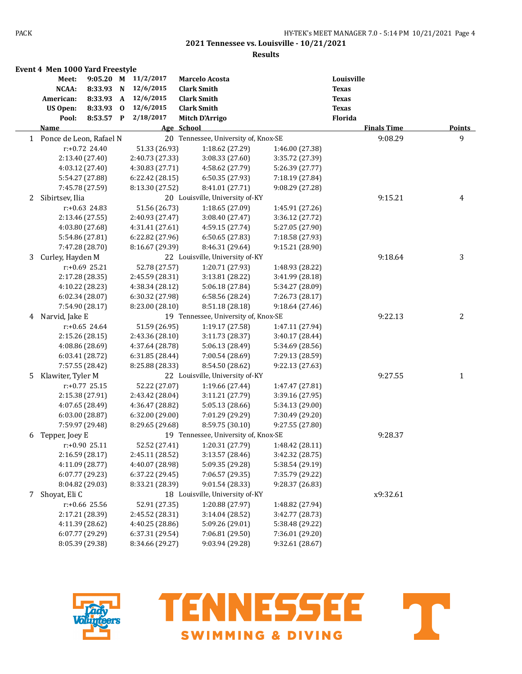|   | <b>Event 4 Men 1000 Yard Freestyle</b> |                  |             |                 |                                      |                 |                    |               |
|---|----------------------------------------|------------------|-------------|-----------------|--------------------------------------|-----------------|--------------------|---------------|
|   | Meet:                                  | $9:05.20$ M      |             | 11/2/2017       | Marcelo Acosta                       |                 | Louisville         |               |
|   | NCAA:                                  | 8:33.93          | $\mathbf N$ | 12/6/2015       | <b>Clark Smith</b>                   |                 | <b>Texas</b>       |               |
|   | American:                              | 8:33.93 A        |             | 12/6/2015       | <b>Clark Smith</b>                   |                 | <b>Texas</b>       |               |
|   | <b>US Open:</b>                        | 8:33.93          | $\bf{0}$    | 12/6/2015       | <b>Clark Smith</b>                   |                 | <b>Texas</b>       |               |
|   | Pool:                                  | 8:53.57 P        |             | 2/18/2017       | <b>Mitch D'Arrigo</b>                |                 | Florida            |               |
|   | <u>Name</u>                            |                  |             |                 | Age School                           |                 | <b>Finals Time</b> | <b>Points</b> |
|   | 1 Ponce de Leon, Rafael N              |                  |             |                 | 20 Tennessee, University of, Knox-SE |                 | 9:08.29            | 9             |
|   |                                        | $r: +0.72$ 24.40 |             | 51.33 (26.93)   | 1:18.62 (27.29)                      | 1:46.00 (27.38) |                    |               |
|   |                                        | 2:13.40 (27.40)  |             | 2:40.73 (27.33) | 3:08.33 (27.60)                      | 3:35.72 (27.39) |                    |               |
|   |                                        | 4:03.12 (27.40)  |             | 4:30.83 (27.71) | 4:58.62 (27.79)                      | 5:26.39 (27.77) |                    |               |
|   |                                        | 5:54.27 (27.88)  |             | 6:22.42(28.15)  | 6:50.35 (27.93)                      | 7:18.19 (27.84) |                    |               |
|   |                                        | 7:45.78 (27.59)  |             | 8:13.30 (27.52) | 8:41.01 (27.71)                      | 9:08.29 (27.28) |                    |               |
|   | 2 Sibirtsev, Ilia                      |                  |             |                 | 20 Louisville, University of-KY      |                 | 9:15.21            | 4             |
|   |                                        | $r: +0.63$ 24.83 |             | 51.56 (26.73)   | 1:18.65 (27.09)                      | 1:45.91 (27.26) |                    |               |
|   |                                        | 2:13.46 (27.55)  |             | 2:40.93 (27.47) | 3:08.40 (27.47)                      | 3:36.12 (27.72) |                    |               |
|   |                                        | 4:03.80 (27.68)  |             | 4:31.41 (27.61) | 4:59.15 (27.74)                      | 5:27.05 (27.90) |                    |               |
|   |                                        | 5:54.86 (27.81)  |             | 6:22.82 (27.96) | 6:50.65 (27.83)                      | 7:18.58 (27.93) |                    |               |
|   |                                        | 7:47.28 (28.70)  |             | 8:16.67 (29.39) | 8:46.31 (29.64)                      | 9:15.21 (28.90) |                    |               |
| 3 | Curley, Hayden M                       |                  |             |                 | 22 Louisville, University of-KY      |                 | 9:18.64            | 3             |
|   |                                        | r:+0.69 25.21    |             | 52.78 (27.57)   | 1:20.71 (27.93)                      | 1:48.93 (28.22) |                    |               |
|   |                                        | 2:17.28 (28.35)  |             | 2:45.59 (28.31) | 3:13.81 (28.22)                      | 3:41.99 (28.18) |                    |               |
|   |                                        | 4:10.22 (28.23)  |             | 4:38.34 (28.12) | 5:06.18 (27.84)                      | 5:34.27 (28.09) |                    |               |
|   |                                        | 6:02.34 (28.07)  |             | 6:30.32 (27.98) | 6:58.56 (28.24)                      | 7:26.73 (28.17) |                    |               |
|   |                                        | 7:54.90 (28.17)  |             | 8:23.00 (28.10) | 8:51.18 (28.18)                      | 9:18.64 (27.46) |                    |               |
| 4 | Narvid, Jake E                         |                  |             |                 | 19 Tennessee, University of, Knox-SE |                 | 9:22.13            | 2             |
|   |                                        | $r: +0.65$ 24.64 |             | 51.59 (26.95)   | 1:19.17 (27.58)                      | 1:47.11 (27.94) |                    |               |
|   |                                        | 2:15.26 (28.15)  |             | 2:43.36 (28.10) | 3:11.73 (28.37)                      | 3:40.17 (28.44) |                    |               |
|   |                                        | 4:08.86 (28.69)  |             | 4:37.64 (28.78) | 5:06.13 (28.49)                      | 5:34.69 (28.56) |                    |               |
|   |                                        | 6:03.41 (28.72)  |             | 6:31.85 (28.44) | 7:00.54 (28.69)                      | 7:29.13 (28.59) |                    |               |
|   |                                        | 7:57.55 (28.42)  |             | 8:25.88 (28.33) | 8:54.50 (28.62)                      | 9:22.13 (27.63) |                    |               |
| 5 | Klawiter, Tyler M                      |                  |             |                 | 22 Louisville, University of-KY      |                 | 9:27.55            | 1             |
|   |                                        | r:+0.77 25.15    |             | 52.22 (27.07)   | 1:19.66 (27.44)                      | 1:47.47 (27.81) |                    |               |
|   |                                        | 2:15.38 (27.91)  |             | 2:43.42 (28.04) | 3:11.21 (27.79)                      | 3:39.16 (27.95) |                    |               |
|   |                                        | 4:07.65 (28.49)  |             | 4:36.47 (28.82) | 5:05.13 (28.66)                      | 5:34.13 (29.00) |                    |               |
|   |                                        | 6:03.00 (28.87)  |             | 6:32.00 (29.00) | 7:01.29 (29.29)                      | 7:30.49 (29.20) |                    |               |
|   |                                        | 7:59.97 (29.48)  |             | 8:29.65 (29.68) | 8:59.75 (30.10)                      | 9:27.55 (27.80) |                    |               |
| 6 | Tepper, Joey E                         |                  |             |                 | 19 Tennessee, University of, Knox-SE |                 | 9:28.37            |               |
|   |                                        | r:+0.90 25.11    |             | 52.52 (27.41)   | 1:20.31 (27.79)                      | 1:48.42 (28.11) |                    |               |
|   |                                        | 2:16.59 (28.17)  |             | 2:45.11 (28.52) | 3:13.57 (28.46)                      | 3:42.32 (28.75) |                    |               |
|   |                                        | 4:11.09 (28.77)  |             | 4:40.07 (28.98) | 5:09.35 (29.28)                      | 5:38.54 (29.19) |                    |               |
|   |                                        | 6:07.77 (29.23)  |             | 6:37.22 (29.45) | 7:06.57 (29.35)                      | 7:35.79 (29.22) |                    |               |
|   |                                        | 8:04.82 (29.03)  |             | 8:33.21 (28.39) | 9:01.54 (28.33)                      | 9:28.37 (26.83) |                    |               |
|   | 7 Shoyat, Eli C                        |                  |             |                 | 18 Louisville, University of-KY      |                 | x9:32.61           |               |
|   |                                        | r:+0.66 25.56    |             | 52.91 (27.35)   | 1:20.88 (27.97)                      | 1:48.82 (27.94) |                    |               |
|   |                                        | 2:17.21 (28.39)  |             | 2:45.52 (28.31) | 3:14.04 (28.52)                      | 3:42.77 (28.73) |                    |               |
|   |                                        | 4:11.39 (28.62)  |             | 4:40.25 (28.86) | 5:09.26 (29.01)                      | 5:38.48 (29.22) |                    |               |
|   |                                        | 6:07.77 (29.29)  |             | 6:37.31 (29.54) | 7:06.81 (29.50)                      | 7:36.01 (29.20) |                    |               |
|   |                                        | 8:05.39 (29.38)  |             | 8:34.66 (29.27) | 9:03.94 (29.28)                      | 9:32.61 (28.67) |                    |               |
|   |                                        |                  |             |                 |                                      |                 |                    |               |



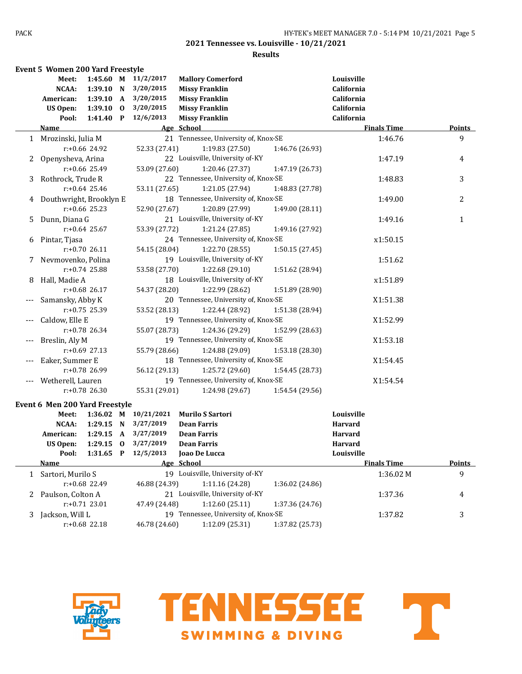### **Results**

|       | Event 5 Women 200 Yard Freestyle |                  |             |                      |                                      |                 |                    |               |
|-------|----------------------------------|------------------|-------------|----------------------|--------------------------------------|-----------------|--------------------|---------------|
|       | Meet:                            |                  |             | 1:45.60 M 11/2/2017  | <b>Mallory Comerford</b>             |                 | Louisville         |               |
|       | NCAA:                            |                  |             | 1:39.10 N 3/20/2015  | <b>Missy Franklin</b>                |                 | California         |               |
|       | American:                        |                  |             | 1:39.10 A 3/20/2015  | <b>Missy Franklin</b>                |                 | California         |               |
|       | US Open:                         | $1:39.10$ 0      |             | 3/20/2015            | <b>Missy Franklin</b>                |                 | California         |               |
|       | Pool:                            | $1:41.40$ P      |             | 12/6/2013            | <b>Missy Franklin</b>                |                 | California         |               |
|       | Name                             |                  |             |                      | Age School                           |                 | <b>Finals Time</b> | <b>Points</b> |
|       | 1 Mrozinski, Julia M             |                  |             |                      | 21 Tennessee, University of, Knox-SE |                 | 1:46.76            | 9             |
|       |                                  | r:+0.66 24.92    |             | 52.33 (27.41)        | 1:19.83 (27.50)                      | 1:46.76 (26.93) |                    |               |
| 2     | Openysheva, Arina                |                  |             |                      | 22 Louisville, University of-KY      |                 | 1:47.19            | 4             |
|       |                                  | $r: +0.66$ 25.49 |             | 53.09 (27.60)        | 1:20.46 (27.37)                      | 1:47.19 (26.73) |                    |               |
| 3     | Rothrock, Trude R                |                  |             |                      | 22 Tennessee, University of, Knox-SE |                 | 1:48.83            | 3             |
|       |                                  | $r: +0.64$ 25.46 |             | 53.11 (27.65)        | 1:21.05 (27.94)                      | 1:48.83 (27.78) |                    |               |
| 4     | Douthwright, Brooklyn E          |                  |             |                      | 18 Tennessee, University of, Knox-SE |                 | 1:49.00            | 2             |
|       |                                  | r:+0.66 25.23    |             | 52.90 (27.67)        | 1:20.89 (27.99)                      | 1:49.00 (28.11) |                    |               |
| 5     | Dunn, Diana G                    |                  |             |                      | 21 Louisville, University of-KY      |                 | 1:49.16            | $\mathbf{1}$  |
|       |                                  | $r: +0.64$ 25.67 |             | 53.39 (27.72)        | 1:21.24 (27.85)                      | 1:49.16 (27.92) |                    |               |
| 6     | Pintar, Tjasa                    |                  |             |                      | 24 Tennessee, University of, Knox-SE |                 | x1:50.15           |               |
|       |                                  | $r: +0.70$ 26.11 |             | 54.15 (28.04)        | 1:22.70 (28.55)                      | 1:50.15 (27.45) |                    |               |
| 7     | Nevmovenko, Polina               |                  |             |                      | 19 Louisville, University of-KY      |                 | 1:51.62            |               |
|       |                                  | $r: +0.74$ 25.88 |             | 53.58 (27.70)        | 1:22.68 (29.10)                      | 1:51.62 (28.94) |                    |               |
| 8     | Hall, Madie A                    |                  |             |                      | 18 Louisville, University of-KY      |                 | x1:51.89           |               |
|       |                                  | $r: +0.68$ 26.17 |             | 54.37 (28.20)        | 1:22.99 (28.62)                      | 1:51.89 (28.90) |                    |               |
|       | Samansky, Abby K                 |                  |             |                      | 20 Tennessee, University of, Knox-SE |                 | X1:51.38           |               |
|       |                                  | r:+0.75 25.39    |             | 53.52 (28.13)        | 1:22.44 (28.92)                      | 1:51.38 (28.94) |                    |               |
| $---$ | Caldow, Elle E                   |                  |             |                      | 19 Tennessee, University of, Knox-SE |                 | X1:52.99           |               |
|       |                                  | r:+0.78 26.34    |             | 55.07 (28.73)        | 1:24.36 (29.29)                      | 1:52.99 (28.63) |                    |               |
| $---$ | Breslin, Aly M                   |                  |             |                      | 19 Tennessee, University of, Knox-SE |                 | X1:53.18           |               |
|       |                                  | $r: +0.69$ 27.13 |             | 55.79 (28.66)        | 1:24.88 (29.09)                      | 1:53.18 (28.30) |                    |               |
| $---$ | Eaker, Summer E                  |                  |             |                      | 18 Tennessee, University of, Knox-SE |                 | X1:54.45           |               |
|       |                                  | r:+0.78 26.99    |             | 56.12 (29.13)        | 1:25.72 (29.60)                      | 1:54.45 (28.73) |                    |               |
|       | Wetherell, Lauren                |                  |             |                      | 19 Tennessee, University of, Knox-SE |                 | X1:54.54           |               |
|       |                                  | $r: +0.78$ 26.30 |             | 55.31 (29.01)        | 1:24.98 (29.67)                      | 1:54.54 (29.56) |                    |               |
|       | Event 6 Men 200 Yard Freestyle   |                  |             |                      |                                      |                 |                    |               |
|       | Meet:                            |                  |             | 1:36.02 M 10/21/2021 | <b>Murilo S Sartori</b>              |                 | Louisville         |               |
|       | NCAA:                            |                  |             | 1:29.15 N 3/27/2019  | <b>Dean Farris</b>                   |                 | <b>Harvard</b>     |               |
|       | American:                        | 1:29.15 A        |             | 3/27/2019            | <b>Dean Farris</b>                   |                 | <b>Harvard</b>     |               |
|       | <b>US Open:</b>                  | 1:29.15          | $\mathbf 0$ | 3/27/2019            | <b>Dean Farris</b>                   |                 | <b>Harvard</b>     |               |
|       | Pool:                            |                  |             | 1:31.65 P 12/5/2013  | Joao De Lucca                        |                 | Louisville         |               |
|       | <b>Name</b>                      |                  |             |                      | Age School                           |                 | <b>Finals Time</b> | <b>Points</b> |
|       | 1 Sartori, Murilo S              |                  |             |                      | 19 Louisville, University of-KY      |                 | 1:36.02M           | 9             |
|       |                                  | r:+0.68 22.49    |             | 46.88 (24.39)        | 1:11.16 (24.28)                      | 1:36.02 (24.86) |                    |               |
| 2     | Paulson, Colton A                |                  |             |                      | 21 Louisville, University of-KY      |                 | 1:37.36            | 4             |
|       |                                  | r:+0.71 23.01    |             | 47.49 (24.48)        | 1:12.60 (25.11)                      | 1:37.36 (24.76) |                    |               |
| 3     | Jackson, Will L                  |                  |             |                      | 19 Tennessee, University of, Knox-SE |                 | 1:37.82            | 3             |
|       |                                  | $r: +0.68$ 22.18 |             | 46.78 (24.60)        | 1:12.09 (25.31)                      | 1:37.82 (25.73) |                    |               |



TENNESSEE T **SWIMMING & DIVING** 

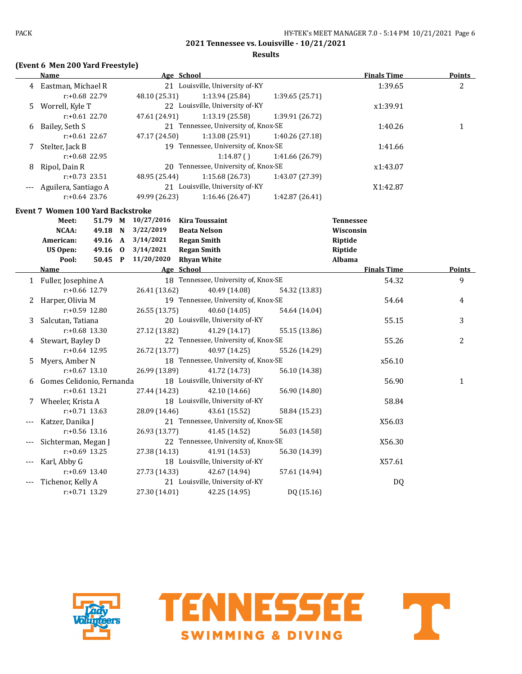### **Results**

# **(Event 6 Men 200 Yard Freestyle)**

|    | <b>Name</b>                              |         |               | Age School                           |                 | <b>Finals Time</b> | <b>Points</b>  |
|----|------------------------------------------|---------|---------------|--------------------------------------|-----------------|--------------------|----------------|
|    | 4 Eastman, Michael R                     |         |               | 21 Louisville, University of-KY      |                 | 1:39.65            | $\overline{2}$ |
|    | $r: +0.68$ 22.79                         |         | 48.10 (25.31) | 1:13.94 (25.84)                      | 1:39.65 (25.71) |                    |                |
| 5. | Worrell, Kyle T                          |         |               | 22 Louisville, University of-KY      |                 | x1:39.91           |                |
|    | $r: +0.61$ 22.70                         |         | 47.61 (24.91) | 1:13.19 (25.58)                      | 1:39.91 (26.72) |                    |                |
| 6  | Bailey, Seth S                           |         |               | 21 Tennessee, University of, Knox-SE |                 | 1:40.26            | $\mathbf{1}$   |
|    | $r: +0.61$ 22.67                         |         | 47.17 (24.50) | 1:13.08 (25.91)                      | 1:40.26 (27.18) |                    |                |
|    | 7 Stelter, Jack B                        |         |               | 19 Tennessee, University of, Knox-SE |                 | 1:41.66            |                |
|    | $r: +0.68$ 22.95                         |         |               | 1:14.87()                            | 1:41.66 (26.79) |                    |                |
| 8  | Ripol, Dain R                            |         |               | 20 Tennessee, University of, Knox-SE |                 | x1:43.07           |                |
|    | $r: +0.73$ 23.51                         |         | 48.95 (25.44) | 1:15.68 (26.73)                      | 1:43.07 (27.39) |                    |                |
|    | Aguilera, Santiago A                     |         |               | 21 Louisville, University of-KY      |                 | X1:42.87           |                |
|    | $r: +0.64$ 23.76                         |         | 49.99 (26.23) | 1:16.46 (26.47)                      | 1:42.87 (26.41) |                    |                |
|    | <b>Event 7 Women 100 Yard Backstroke</b> |         |               |                                      |                 |                    |                |
|    | Meet:                                    | 51.79 M | 10/27/2016    | <b>Kira Toussaint</b>                |                 | <b>Tennessee</b>   |                |
|    | NCAA:                                    | 49.18 N | 3/22/2019     | <b>Beata Nelson</b>                  |                 | Wisconsin          |                |
|    | American:                                | 49.16 A | 3/14/2021     | <b>Regan Smith</b>                   |                 | Riptide            |                |
|    | <b>US Open:</b>                          | 49.16 0 | 3/14/2021     | <b>Regan Smith</b>                   |                 | Riptide            |                |
|    | Pool:                                    | 50.45 P | 11/20/2020    | <b>Rhyan White</b>                   |                 | Albama             |                |
|    | <b>Name</b>                              |         |               | Age School                           |                 | <b>Finals Time</b> | <b>Points</b>  |
|    | 1 Fuller, Josephine A                    |         |               | 18 Tennessee, University of, Knox-SE |                 | 54.32              | 9              |
|    | r:+0.66 12.79                            |         | 26.41 (13.62) | 40.49 (14.08)                        | 54.32 (13.83)   |                    |                |
|    | 2 Harper, Olivia M                       |         |               | 19 Tennessee, University of, Knox-SE |                 | 54.64              | 4              |
|    | r:+0.59 12.80                            |         | 26.55 (13.75) | 40.60 (14.05)                        | 54.64 (14.04)   |                    |                |
| 3  | Salcutan, Tatiana                        |         |               | 20 Louisville, University of-KY      |                 | 55.15              | 3              |
|    | $r: +0.68$ 13.30                         |         | 27.12 (13.82) | 41.29 (14.17)                        | 55.15 (13.86)   |                    |                |
| 4  | Stewart, Bayley D                        |         |               | 22 Tennessee, University of, Knox-SE |                 | 55.26              | $\overline{2}$ |
|    | $r: +0.64$ 12.95                         |         | 26.72 (13.77) | 40.97 (14.25)                        | 55.26 (14.29)   |                    |                |
| 5. | Myers, Amber N                           |         |               | 18 Tennessee, University of, Knox-SE |                 | x56.10             |                |
|    | $r: +0.67$ 13.10                         |         | 26.99 (13.89) | 41.72 (14.73)                        | 56.10 (14.38)   |                    |                |
| 6  | Gomes Celidonio, Fernanda                |         |               | 18 Louisville, University of-KY      |                 | 56.90              | $\mathbf{1}$   |
|    | $r: +0.61$ 13.21                         |         | 27.44 (14.23) | 42.10 (14.66)                        | 56.90 (14.80)   |                    |                |
|    | 7 Wheeler, Krista A                      |         |               | 18 Louisville, University of-KY      |                 | 58.84              |                |
|    | $r: +0.71$ 13.63                         |         | 28.09 (14.46) | 43.61 (15.52)                        | 58.84 (15.23)   |                    |                |
|    | Katzer, Danika J                         |         |               | 21 Tennessee, University of, Knox-SE |                 | X56.03             |                |
|    | $r: +0.56$ 13.16                         |         | 26.93 (13.77) | 41.45 (14.52)                        | 56.03 (14.58)   |                    |                |
|    | Sichterman, Megan J                      |         |               | 22 Tennessee, University of, Knox-SE |                 | X56.30             |                |
|    | r:+0.69 13.25                            |         | 27.38 (14.13) | 41.91 (14.53)                        | 56.30 (14.39)   |                    |                |
|    | Karl, Abby G                             |         |               | 18 Louisville, University of-KY      |                 | X57.61             |                |
|    | $r: +0.69$ 13.40                         |         | 27.73 (14.33) | 42.67 (14.94)                        | 57.61 (14.94)   |                    |                |
|    | Tichenor, Kelly A                        |         |               | 21 Louisville, University of-KY      |                 | DQ                 |                |
|    | r:+0.71 13.29                            |         | 27.30 (14.01) | 42.25 (14.95)                        | DQ (15.16)      |                    |                |



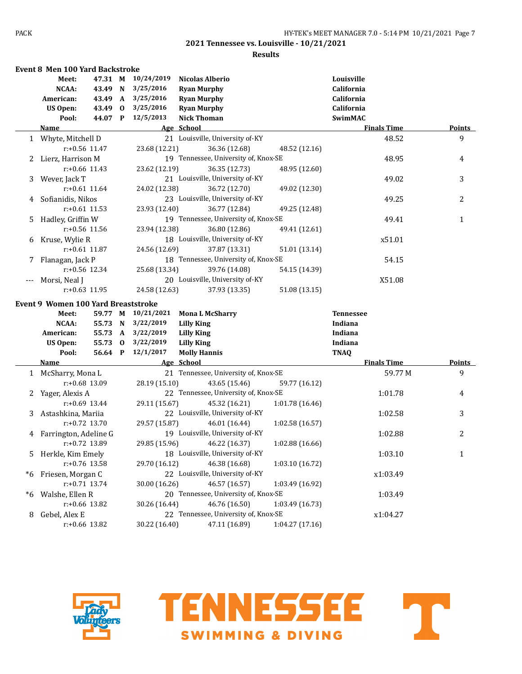|              | <b>Event 8 Men 100 Yard Backstroke</b>     |                  |               |                                      |                 |                    |               |
|--------------|--------------------------------------------|------------------|---------------|--------------------------------------|-----------------|--------------------|---------------|
|              | Meet:                                      | 47.31 M          | 10/24/2019    | <b>Nicolas Alberio</b>               |                 | Louisville         |               |
|              | NCAA:                                      | 43.49 N          | 3/25/2016     | <b>Ryan Murphy</b>                   |                 | California         |               |
|              | American:                                  | 43.49 A          | 3/25/2016     | <b>Ryan Murphy</b>                   |                 | California         |               |
|              | <b>US Open:</b>                            | 43.49 0          | 3/25/2016     | <b>Ryan Murphy</b>                   |                 | California         |               |
|              | Pool:                                      | 44.07 P          | 12/5/2013     | <b>Nick Thoman</b>                   |                 | <b>SwimMAC</b>     |               |
|              | Name                                       |                  |               | Age School                           |                 | <b>Finals Time</b> | <b>Points</b> |
|              | 1 Whyte, Mitchell D                        |                  |               | 21 Louisville, University of-KY      |                 | 48.52              | 9             |
|              |                                            | r:+0.56 11.47    | 23.68 (12.21) | 36.36 (12.68)                        | 48.52 (12.16)   |                    |               |
| 2            | Lierz, Harrison M                          |                  |               | 19 Tennessee, University of, Knox-SE |                 | 48.95              | 4             |
|              |                                            | $r: +0.66$ 11.43 | 23.62 (12.19) | 36.35 (12.73)                        | 48.95 (12.60)   |                    |               |
| 3            | Wever, Jack T                              |                  |               | 21 Louisville, University of-KY      |                 | 49.02              | 3             |
|              |                                            | $r: +0.61$ 11.64 | 24.02 (12.38) | 36.72 (12.70)                        | 49.02 (12.30)   |                    |               |
| 4            | Sofianidis, Nikos                          |                  |               | 23 Louisville, University of-KY      |                 | 49.25              | 2             |
|              |                                            | $r: +0.61$ 11.53 | 23.93 (12.40) | 36.77 (12.84)                        | 49.25 (12.48)   |                    |               |
| 5            | Hadley, Griffin W                          |                  |               | 19 Tennessee, University of, Knox-SE |                 | 49.41              | 1             |
|              |                                            | $r: +0.56$ 11.56 | 23.94 (12.38) | 36.80 (12.86)                        | 49.41 (12.61)   |                    |               |
| 6            | Kruse, Wylie R                             |                  |               | 18 Louisville, University of-KY      |                 | x51.01             |               |
|              |                                            | $r$ :+0.61 11.87 | 24.56 (12.69) | 37.87 (13.31)                        | 51.01 (13.14)   |                    |               |
| 7            | Flanagan, Jack P                           |                  |               | 18 Tennessee, University of, Knox-SE |                 | 54.15              |               |
|              |                                            | $r: +0.56$ 12.34 | 25.68 (13.34) | 39.76 (14.08)                        | 54.15 (14.39)   |                    |               |
| $---$        | Morsi, Neal J                              |                  |               | 20 Louisville, University of-KY      |                 | X51.08             |               |
|              |                                            | $r: +0.63$ 11.95 | 24.58 (12.63) | 37.93 (13.35)                        | 51.08 (13.15)   |                    |               |
|              |                                            |                  |               |                                      |                 |                    |               |
|              | <b>Event 9 Women 100 Yard Breaststroke</b> |                  |               |                                      |                 |                    |               |
|              | Meet:                                      | 59.77 M          | 10/21/2021    | <b>Mona L McSharry</b>               |                 | <b>Tennessee</b>   |               |
|              | NCAA:                                      | 55.73 N          | 3/22/2019     | <b>Lilly King</b>                    |                 | Indiana            |               |
|              | American:                                  | 55.73 A          | 3/22/2019     | <b>Lilly King</b>                    |                 | Indiana            |               |
|              | US Open:                                   | 55.73 0          | 3/22/2019     | <b>Lilly King</b>                    |                 | Indiana            |               |
|              | Pool:                                      | 56.64 P          | 12/1/2017     | <b>Molly Hannis</b>                  |                 | <b>TNAQ</b>        |               |
|              | <b>Name</b>                                |                  |               | Age School                           |                 | <b>Finals Time</b> | <b>Points</b> |
| $\mathbf{1}$ | McSharry, Mona L                           |                  |               | 21 Tennessee, University of, Knox-SE |                 | 59.77 M            | 9             |
|              |                                            | r:+0.68 13.09    | 28.19 (15.10) | 43.65 (15.46)                        | 59.77 (16.12)   |                    |               |
| 2            | Yager, Alexis A                            |                  |               | 22 Tennessee, University of, Knox-SE |                 | 1:01.78            | 4             |
|              |                                            | $r: +0.69$ 13.44 | 29.11 (15.67) | 45.32 (16.21)                        | 1:01.78 (16.46) |                    |               |
| 3            | Astashkina, Mariia                         |                  |               | 22 Louisville, University of-KY      |                 | 1:02.58            | 3             |
|              |                                            | $r: +0.72$ 13.70 | 29.57 (15.87) | 46.01 (16.44)                        | 1:02.58(16.57)  |                    |               |
| 4            | Farrington, Adeline G                      |                  |               | 19 Louisville, University of-KY      |                 | 1:02.88            | 2             |
|              |                                            | r:+0.72 13.89    | 29.85 (15.96) | 46.22 (16.37)                        | 1:02.88(16.66)  |                    |               |
| 5            | Herkle, Kim Emely                          |                  |               | 18 Louisville, University of-KY      |                 | 1:03.10            | $\mathbf{1}$  |
|              |                                            | r:+0.76 13.58    | 29.70 (16.12) | 46.38 (16.68)                        | 1:03.10 (16.72) |                    |               |
| $*6$         | Friesen, Morgan C                          |                  |               | 22 Louisville, University of-KY      |                 | x1:03.49           |               |
|              |                                            | $r: +0.71$ 13.74 | 30.00 (16.26) | 46.57 (16.57)                        | 1:03.49 (16.92) |                    |               |
| *6           | Walshe, Ellen R                            |                  |               | 20 Tennessee, University of, Knox-SE |                 | 1:03.49            |               |
|              |                                            | r:+0.66 13.82    | 30.26 (16.44) | 46.76 (16.50)                        | 1:03.49 (16.73) |                    |               |
| 8            | Gebel, Alex E                              |                  |               | 22 Tennessee, University of, Knox-SE |                 | x1:04.27           |               |
|              |                                            | r:+0.66 13.82    | 30.22 (16.40) | 47.11 (16.89)                        | 1:04.27(17.16)  |                    |               |



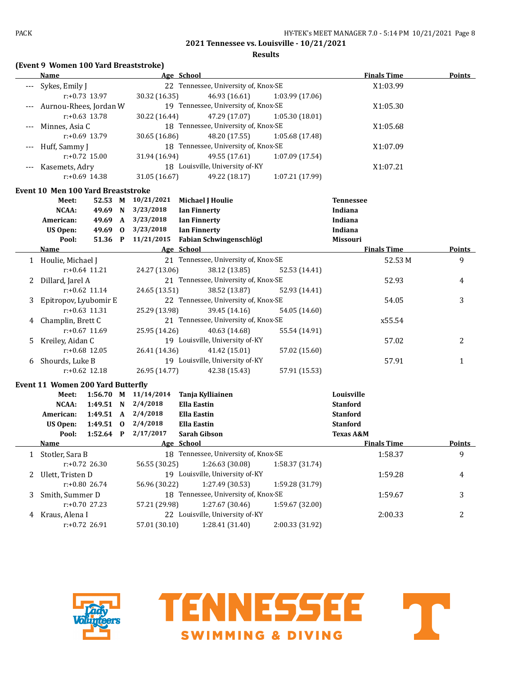**Results**

|  |  | (Event 9 Women 100 Yard Breaststroke) |
|--|--|---------------------------------------|
|--|--|---------------------------------------|

|   | <u>Name</u>                              |                  | men 100 Taru breastströße) | Age School                           |                 | <b>Finals Time</b>   | <b>Points</b> |
|---|------------------------------------------|------------------|----------------------------|--------------------------------------|-----------------|----------------------|---------------|
|   | Sykes, Emily J                           |                  |                            | 22 Tennessee, University of, Knox-SE |                 | X1:03.99             |               |
|   |                                          | $r: +0.73$ 13.97 | 30.32 (16.35)              | 46.93 (16.61)                        | 1:03.99 (17.06) |                      |               |
|   | Aurnou-Rhees, Jordan W                   |                  |                            | 19 Tennessee, University of, Knox-SE |                 | X1:05.30             |               |
|   |                                          | $r: +0.63$ 13.78 | 30.22 (16.44)              | 47.29 (17.07)                        | 1:05.30(18.01)  |                      |               |
|   | Minnes, Asia C                           |                  |                            | 18 Tennessee, University of, Knox-SE |                 | X1:05.68             |               |
|   |                                          | r:+0.69 13.79    |                            | 48.20 (17.55)                        | 1:05.68 (17.48) |                      |               |
|   |                                          |                  | 30.65 (16.86)              |                                      |                 |                      |               |
|   | Huff, Sammy J                            |                  |                            | 18 Tennessee, University of, Knox-SE |                 | X1:07.09             |               |
|   |                                          | $r: +0.72$ 15.00 | 31.94 (16.94)              | 49.55 (17.61)                        | 1:07.09 (17.54) |                      |               |
|   | Kasemets, Adry                           |                  |                            | 18 Louisville, University of-KY      |                 | X1:07.21             |               |
|   |                                          | $r: +0.69$ 14.38 | 31.05 (16.67)              | 49.22 (18.17)                        | 1:07.21 (17.99) |                      |               |
|   | Event 10 Men 100 Yard Breaststroke       |                  |                            |                                      |                 |                      |               |
|   | Meet:                                    | 52.53 M          | 10/21/2021                 | <b>Michael J Houlie</b>              |                 | <b>Tennessee</b>     |               |
|   | NCAA:                                    | 49.69 N          | 3/23/2018                  | <b>Ian Finnerty</b>                  |                 | Indiana              |               |
|   | American:                                | 49.69 A          | 3/23/2018                  | <b>Ian Finnerty</b>                  |                 | Indiana              |               |
|   | <b>US Open:</b>                          | 49.69 0          | 3/23/2018                  | <b>Ian Finnerty</b>                  |                 | Indiana              |               |
|   | Pool:                                    | 51.36 P          | 11/21/2015                 | Fabian Schwingenschlögl              |                 | <b>Missouri</b>      |               |
|   | Name                                     |                  |                            | Age School                           |                 | <b>Finals Time</b>   | Points        |
|   | 1 Houlie, Michael J                      |                  |                            | 21 Tennessee, University of, Knox-SE |                 | 52.53 M              | 9             |
|   |                                          | $r: +0.64$ 11.21 | 24.27 (13.06)              | 38.12 (13.85)                        | 52.53 (14.41)   |                      |               |
| 2 | Dillard, Jarel A                         |                  |                            | 21 Tennessee, University of, Knox-SE |                 | 52.93                | 4             |
|   |                                          | $r: +0.62$ 11.14 | 24.65 (13.51)              | 38.52 (13.87)                        | 52.93 (14.41)   |                      |               |
| 3 | Epitropov, Lyubomir E                    |                  |                            | 22 Tennessee, University of, Knox-SE |                 | 54.05                | 3             |
|   |                                          | $r: +0.63$ 11.31 | 25.29 (13.98)              | 39.45 (14.16)                        | 54.05 (14.60)   |                      |               |
|   | Champlin, Brett C                        |                  |                            | 21 Tennessee, University of, Knox-SE |                 | x55.54               |               |
|   |                                          | r:+0.67 11.69    | 25.95 (14.26)              | 40.63 (14.68)                        | 55.54 (14.91)   |                      |               |
|   |                                          |                  |                            | 19 Louisville, University of-KY      |                 |                      |               |
| 5 | Kreiley, Aidan C                         |                  |                            |                                      |                 | 57.02                | 2             |
|   |                                          | $r: +0.68$ 12.05 | 26.41 (14.36)              | 41.42 (15.01)                        | 57.02 (15.60)   |                      |               |
|   | 6 Shourds, Luke B                        |                  |                            | 19 Louisville, University of-KY      |                 | 57.91                | 1             |
|   |                                          | $r: +0.62$ 12.18 | 26.95 (14.77)              | 42.38 (15.43)                        | 57.91 (15.53)   |                      |               |
|   | <b>Event 11 Women 200 Yard Butterfly</b> |                  |                            |                                      |                 |                      |               |
|   | Meet:                                    |                  | 1:56.70 M 11/14/2014       | Tanja Kylliainen                     |                 | Louisville           |               |
|   | NCAA:                                    |                  | 1:49.51 N 2/4/2018         | <b>Ella Eastin</b>                   |                 | <b>Stanford</b>      |               |
|   | American:                                |                  | 1:49.51 A 2/4/2018         | Ella Eastin                          |                 | <b>Stanford</b>      |               |
|   | <b>US Open:</b>                          | $1:49.51$ 0      | 2/4/2018                   | <b>Ella Eastin</b>                   |                 | <b>Stanford</b>      |               |
|   | Pool:                                    |                  | 1:52.64 P 2/17/2017        | Sarah Gibson                         |                 | <b>Texas A&amp;M</b> |               |
|   | <u>Name</u>                              |                  |                            | Age School                           |                 | <b>Finals Time</b>   | <b>Points</b> |
|   | 1 Stotler, Sara B                        |                  |                            | 18 Tennessee, University of, Knox-SE |                 | 1:58.37              | 9             |
|   |                                          | $r: +0.72$ 26.30 | 56.55 (30.25)              | 1:26.63 (30.08)                      | 1:58.37 (31.74) |                      |               |
| 2 | Ulett, Tristen D                         |                  |                            | 19 Louisville, University of-KY      |                 | 1:59.28              | 4             |
|   |                                          | r:+0.80 26.74    | 56.96 (30.22)              | 1:27.49 (30.53)                      | 1:59.28 (31.79) |                      |               |
| 3 | Smith, Summer D                          |                  |                            | 18 Tennessee, University of, Knox-SE |                 | 1:59.67              | 3             |
|   |                                          | $r: +0.70$ 27.23 | 57.21 (29.98)              | 1:27.67 (30.46)                      | 1:59.67 (32.00) |                      |               |
| 4 | Kraus, Alena I                           |                  |                            | 22 Louisville, University of-KY      |                 | 2:00.33              | 2             |
|   |                                          | r:+0.72 26.91    | 57.01 (30.10)              | 1:28.41 (31.40)                      | 2:00.33 (31.92) |                      |               |
|   |                                          |                  |                            |                                      |                 |                      |               |

**SWIMMING & DIVING** 



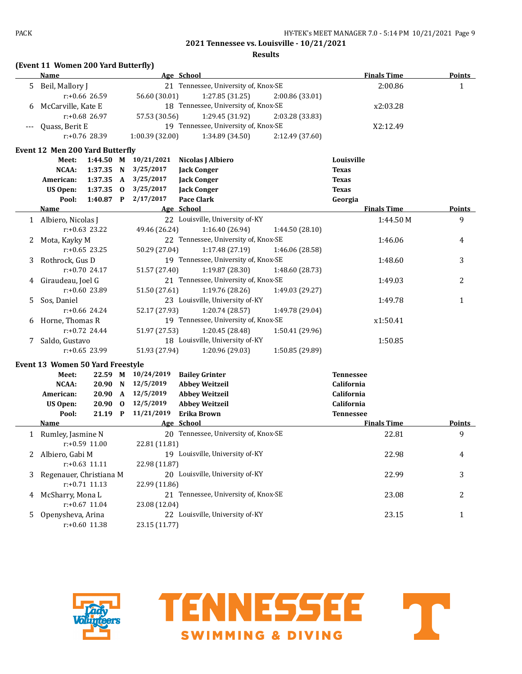**Results**

## **(Event 11 Women 200 Yard Butterfly)**

| Age School<br>21 Tennessee, University of, Knox-SE<br>2:00.86<br>5 Beil, Mallory J<br>$\mathbf{1}$<br>$r: +0.66$ 26.59<br>56.60 (30.01)<br>1:27.85(31.25)<br>2:00.86 (33.01)<br>18 Tennessee, University of, Knox-SE<br>McCarville, Kate E<br>x2:03.28<br>6<br>$r: +0.68$ 26.97<br>57.53 (30.56)<br>1:29.45 (31.92)<br>2:03.28 (33.83)<br>19 Tennessee, University of, Knox-SE<br>Quass, Berit E<br>X2:12.49<br>$r: +0.76$ 28.39<br>1:00.39(32.00)<br>1:34.89(34.50)<br>2:12.49 (37.60)<br><b>Event 12 Men 200 Yard Butterfly</b><br>1:44.50 M 10/21/2021<br>Louisville<br>Nicolas J Albiero<br>Meet:<br>1:37.35 N<br>3/25/2017<br><b>Jack Conger</b><br>NCAA:<br><b>Texas</b><br>3/25/2017<br>American:<br>1:37.35 A<br><b>Jack Conger</b><br><b>Texas</b><br>3/25/2017<br><b>Jack Conger</b><br><b>US Open:</b><br>$1:37.35$ 0<br><b>Texas</b><br>1:40.87 P 2/17/2017<br><b>Pace Clark</b><br>Pool:<br>Georgia<br><b>Finals Time</b><br>Age School<br>Name<br>22 Louisville, University of-KY<br>9<br>1 Albiero, Nicolas J<br>1:44.50 M<br>$r: +0.63$ 23.22<br>49.46 (26.24)<br>1:16.40(26.94)<br>1:44.50(28.10)<br>22 Tennessee, University of, Knox-SE<br>Mota, Kayky M<br>1:46.06<br>2<br>4<br>$r: +0.65$ 23.25<br>50.29 (27.04)<br>1:17.48 (27.19)<br>1:46.06 (28.58)<br>19 Tennessee, University of, Knox-SE<br>3<br>Rothrock, Gus D<br>1:48.60<br>3<br>$r: +0.70$ 24.17<br>51.57 (27.40)<br>1:19.87 (28.30)<br>1:48.60 (28.73)<br>21 Tennessee, University of, Knox-SE<br>2<br>4 Giraudeau, Joel G<br>1:49.03<br>1:19.76 (28.26)<br>$r: +0.60$ 23.89<br>51.50 (27.61)<br>1:49.03 (29.27)<br>23 Louisville, University of-KY<br>5<br>Sos, Daniel<br>1:49.78<br>$\mathbf{1}$<br>$r: +0.66$ 24.24<br>52.17 (27.93)<br>1:20.74 (28.57)<br>1:49.78 (29.04)<br>19 Tennessee, University of, Knox-SE<br>6 Horne, Thomas R<br>x1:50.41<br>$r: +0.72$ 24.44<br>51.97 (27.53)<br>1:20.45 (28.48)<br>1:50.41 (29.96)<br>18 Louisville, University of-KY<br>1:50.85<br>7 Saldo, Gustavo<br>$r: +0.65$ 23.99<br>51.93 (27.94)<br>1:20.96 (29.03)<br>1:50.85 (29.89)<br><b>Event 13 Women 50 Yard Freestyle</b><br>22.59 M 10/24/2019<br><b>Bailey Grinter</b><br><b>Tennessee</b><br>Meet: | Little II wolltch 200 iaid butterny |  |  |  |                    |        |
|---------------------------------------------------------------------------------------------------------------------------------------------------------------------------------------------------------------------------------------------------------------------------------------------------------------------------------------------------------------------------------------------------------------------------------------------------------------------------------------------------------------------------------------------------------------------------------------------------------------------------------------------------------------------------------------------------------------------------------------------------------------------------------------------------------------------------------------------------------------------------------------------------------------------------------------------------------------------------------------------------------------------------------------------------------------------------------------------------------------------------------------------------------------------------------------------------------------------------------------------------------------------------------------------------------------------------------------------------------------------------------------------------------------------------------------------------------------------------------------------------------------------------------------------------------------------------------------------------------------------------------------------------------------------------------------------------------------------------------------------------------------------------------------------------------------------------------------------------------------------------------------------------------------------------------------------------------------------------------------------------------------------------------------------------------------------------------------------------------------------------------------------------------------------------------------|-------------------------------------|--|--|--|--------------------|--------|
|                                                                                                                                                                                                                                                                                                                                                                                                                                                                                                                                                                                                                                                                                                                                                                                                                                                                                                                                                                                                                                                                                                                                                                                                                                                                                                                                                                                                                                                                                                                                                                                                                                                                                                                                                                                                                                                                                                                                                                                                                                                                                                                                                                                       | Name                                |  |  |  | <b>Finals Time</b> | Points |
|                                                                                                                                                                                                                                                                                                                                                                                                                                                                                                                                                                                                                                                                                                                                                                                                                                                                                                                                                                                                                                                                                                                                                                                                                                                                                                                                                                                                                                                                                                                                                                                                                                                                                                                                                                                                                                                                                                                                                                                                                                                                                                                                                                                       |                                     |  |  |  |                    |        |
|                                                                                                                                                                                                                                                                                                                                                                                                                                                                                                                                                                                                                                                                                                                                                                                                                                                                                                                                                                                                                                                                                                                                                                                                                                                                                                                                                                                                                                                                                                                                                                                                                                                                                                                                                                                                                                                                                                                                                                                                                                                                                                                                                                                       |                                     |  |  |  |                    |        |
|                                                                                                                                                                                                                                                                                                                                                                                                                                                                                                                                                                                                                                                                                                                                                                                                                                                                                                                                                                                                                                                                                                                                                                                                                                                                                                                                                                                                                                                                                                                                                                                                                                                                                                                                                                                                                                                                                                                                                                                                                                                                                                                                                                                       |                                     |  |  |  |                    |        |
|                                                                                                                                                                                                                                                                                                                                                                                                                                                                                                                                                                                                                                                                                                                                                                                                                                                                                                                                                                                                                                                                                                                                                                                                                                                                                                                                                                                                                                                                                                                                                                                                                                                                                                                                                                                                                                                                                                                                                                                                                                                                                                                                                                                       |                                     |  |  |  |                    |        |
|                                                                                                                                                                                                                                                                                                                                                                                                                                                                                                                                                                                                                                                                                                                                                                                                                                                                                                                                                                                                                                                                                                                                                                                                                                                                                                                                                                                                                                                                                                                                                                                                                                                                                                                                                                                                                                                                                                                                                                                                                                                                                                                                                                                       |                                     |  |  |  |                    |        |
|                                                                                                                                                                                                                                                                                                                                                                                                                                                                                                                                                                                                                                                                                                                                                                                                                                                                                                                                                                                                                                                                                                                                                                                                                                                                                                                                                                                                                                                                                                                                                                                                                                                                                                                                                                                                                                                                                                                                                                                                                                                                                                                                                                                       |                                     |  |  |  |                    |        |
|                                                                                                                                                                                                                                                                                                                                                                                                                                                                                                                                                                                                                                                                                                                                                                                                                                                                                                                                                                                                                                                                                                                                                                                                                                                                                                                                                                                                                                                                                                                                                                                                                                                                                                                                                                                                                                                                                                                                                                                                                                                                                                                                                                                       |                                     |  |  |  |                    |        |
|                                                                                                                                                                                                                                                                                                                                                                                                                                                                                                                                                                                                                                                                                                                                                                                                                                                                                                                                                                                                                                                                                                                                                                                                                                                                                                                                                                                                                                                                                                                                                                                                                                                                                                                                                                                                                                                                                                                                                                                                                                                                                                                                                                                       |                                     |  |  |  |                    |        |
|                                                                                                                                                                                                                                                                                                                                                                                                                                                                                                                                                                                                                                                                                                                                                                                                                                                                                                                                                                                                                                                                                                                                                                                                                                                                                                                                                                                                                                                                                                                                                                                                                                                                                                                                                                                                                                                                                                                                                                                                                                                                                                                                                                                       |                                     |  |  |  |                    |        |
|                                                                                                                                                                                                                                                                                                                                                                                                                                                                                                                                                                                                                                                                                                                                                                                                                                                                                                                                                                                                                                                                                                                                                                                                                                                                                                                                                                                                                                                                                                                                                                                                                                                                                                                                                                                                                                                                                                                                                                                                                                                                                                                                                                                       |                                     |  |  |  |                    |        |
|                                                                                                                                                                                                                                                                                                                                                                                                                                                                                                                                                                                                                                                                                                                                                                                                                                                                                                                                                                                                                                                                                                                                                                                                                                                                                                                                                                                                                                                                                                                                                                                                                                                                                                                                                                                                                                                                                                                                                                                                                                                                                                                                                                                       |                                     |  |  |  |                    |        |
|                                                                                                                                                                                                                                                                                                                                                                                                                                                                                                                                                                                                                                                                                                                                                                                                                                                                                                                                                                                                                                                                                                                                                                                                                                                                                                                                                                                                                                                                                                                                                                                                                                                                                                                                                                                                                                                                                                                                                                                                                                                                                                                                                                                       |                                     |  |  |  |                    |        |
|                                                                                                                                                                                                                                                                                                                                                                                                                                                                                                                                                                                                                                                                                                                                                                                                                                                                                                                                                                                                                                                                                                                                                                                                                                                                                                                                                                                                                                                                                                                                                                                                                                                                                                                                                                                                                                                                                                                                                                                                                                                                                                                                                                                       |                                     |  |  |  |                    | Points |
|                                                                                                                                                                                                                                                                                                                                                                                                                                                                                                                                                                                                                                                                                                                                                                                                                                                                                                                                                                                                                                                                                                                                                                                                                                                                                                                                                                                                                                                                                                                                                                                                                                                                                                                                                                                                                                                                                                                                                                                                                                                                                                                                                                                       |                                     |  |  |  |                    |        |
|                                                                                                                                                                                                                                                                                                                                                                                                                                                                                                                                                                                                                                                                                                                                                                                                                                                                                                                                                                                                                                                                                                                                                                                                                                                                                                                                                                                                                                                                                                                                                                                                                                                                                                                                                                                                                                                                                                                                                                                                                                                                                                                                                                                       |                                     |  |  |  |                    |        |
|                                                                                                                                                                                                                                                                                                                                                                                                                                                                                                                                                                                                                                                                                                                                                                                                                                                                                                                                                                                                                                                                                                                                                                                                                                                                                                                                                                                                                                                                                                                                                                                                                                                                                                                                                                                                                                                                                                                                                                                                                                                                                                                                                                                       |                                     |  |  |  |                    |        |
|                                                                                                                                                                                                                                                                                                                                                                                                                                                                                                                                                                                                                                                                                                                                                                                                                                                                                                                                                                                                                                                                                                                                                                                                                                                                                                                                                                                                                                                                                                                                                                                                                                                                                                                                                                                                                                                                                                                                                                                                                                                                                                                                                                                       |                                     |  |  |  |                    |        |
|                                                                                                                                                                                                                                                                                                                                                                                                                                                                                                                                                                                                                                                                                                                                                                                                                                                                                                                                                                                                                                                                                                                                                                                                                                                                                                                                                                                                                                                                                                                                                                                                                                                                                                                                                                                                                                                                                                                                                                                                                                                                                                                                                                                       |                                     |  |  |  |                    |        |
|                                                                                                                                                                                                                                                                                                                                                                                                                                                                                                                                                                                                                                                                                                                                                                                                                                                                                                                                                                                                                                                                                                                                                                                                                                                                                                                                                                                                                                                                                                                                                                                                                                                                                                                                                                                                                                                                                                                                                                                                                                                                                                                                                                                       |                                     |  |  |  |                    |        |
|                                                                                                                                                                                                                                                                                                                                                                                                                                                                                                                                                                                                                                                                                                                                                                                                                                                                                                                                                                                                                                                                                                                                                                                                                                                                                                                                                                                                                                                                                                                                                                                                                                                                                                                                                                                                                                                                                                                                                                                                                                                                                                                                                                                       |                                     |  |  |  |                    |        |
|                                                                                                                                                                                                                                                                                                                                                                                                                                                                                                                                                                                                                                                                                                                                                                                                                                                                                                                                                                                                                                                                                                                                                                                                                                                                                                                                                                                                                                                                                                                                                                                                                                                                                                                                                                                                                                                                                                                                                                                                                                                                                                                                                                                       |                                     |  |  |  |                    |        |
|                                                                                                                                                                                                                                                                                                                                                                                                                                                                                                                                                                                                                                                                                                                                                                                                                                                                                                                                                                                                                                                                                                                                                                                                                                                                                                                                                                                                                                                                                                                                                                                                                                                                                                                                                                                                                                                                                                                                                                                                                                                                                                                                                                                       |                                     |  |  |  |                    |        |
|                                                                                                                                                                                                                                                                                                                                                                                                                                                                                                                                                                                                                                                                                                                                                                                                                                                                                                                                                                                                                                                                                                                                                                                                                                                                                                                                                                                                                                                                                                                                                                                                                                                                                                                                                                                                                                                                                                                                                                                                                                                                                                                                                                                       |                                     |  |  |  |                    |        |
|                                                                                                                                                                                                                                                                                                                                                                                                                                                                                                                                                                                                                                                                                                                                                                                                                                                                                                                                                                                                                                                                                                                                                                                                                                                                                                                                                                                                                                                                                                                                                                                                                                                                                                                                                                                                                                                                                                                                                                                                                                                                                                                                                                                       |                                     |  |  |  |                    |        |
|                                                                                                                                                                                                                                                                                                                                                                                                                                                                                                                                                                                                                                                                                                                                                                                                                                                                                                                                                                                                                                                                                                                                                                                                                                                                                                                                                                                                                                                                                                                                                                                                                                                                                                                                                                                                                                                                                                                                                                                                                                                                                                                                                                                       |                                     |  |  |  |                    |        |
|                                                                                                                                                                                                                                                                                                                                                                                                                                                                                                                                                                                                                                                                                                                                                                                                                                                                                                                                                                                                                                                                                                                                                                                                                                                                                                                                                                                                                                                                                                                                                                                                                                                                                                                                                                                                                                                                                                                                                                                                                                                                                                                                                                                       |                                     |  |  |  |                    |        |
|                                                                                                                                                                                                                                                                                                                                                                                                                                                                                                                                                                                                                                                                                                                                                                                                                                                                                                                                                                                                                                                                                                                                                                                                                                                                                                                                                                                                                                                                                                                                                                                                                                                                                                                                                                                                                                                                                                                                                                                                                                                                                                                                                                                       |                                     |  |  |  |                    |        |
|                                                                                                                                                                                                                                                                                                                                                                                                                                                                                                                                                                                                                                                                                                                                                                                                                                                                                                                                                                                                                                                                                                                                                                                                                                                                                                                                                                                                                                                                                                                                                                                                                                                                                                                                                                                                                                                                                                                                                                                                                                                                                                                                                                                       |                                     |  |  |  |                    |        |
|                                                                                                                                                                                                                                                                                                                                                                                                                                                                                                                                                                                                                                                                                                                                                                                                                                                                                                                                                                                                                                                                                                                                                                                                                                                                                                                                                                                                                                                                                                                                                                                                                                                                                                                                                                                                                                                                                                                                                                                                                                                                                                                                                                                       |                                     |  |  |  |                    |        |
| NCAA:<br>20.90 N<br>12/5/2019<br><b>Abbey Weitzeil</b><br>California                                                                                                                                                                                                                                                                                                                                                                                                                                                                                                                                                                                                                                                                                                                                                                                                                                                                                                                                                                                                                                                                                                                                                                                                                                                                                                                                                                                                                                                                                                                                                                                                                                                                                                                                                                                                                                                                                                                                                                                                                                                                                                                  |                                     |  |  |  |                    |        |
| 12/5/2019<br>20.90 A<br><b>Abbey Weitzeil</b><br>American:<br>California                                                                                                                                                                                                                                                                                                                                                                                                                                                                                                                                                                                                                                                                                                                                                                                                                                                                                                                                                                                                                                                                                                                                                                                                                                                                                                                                                                                                                                                                                                                                                                                                                                                                                                                                                                                                                                                                                                                                                                                                                                                                                                              |                                     |  |  |  |                    |        |

|    | US Open:<br>$20.90 \quad 0$ | 12/5/2019     | <b>Abbey Weitzeil</b>                | California         |        |
|----|-----------------------------|---------------|--------------------------------------|--------------------|--------|
|    | 21.19<br>P<br>Pool:         | 11/21/2019    | Erika Brown                          | <b>Tennessee</b>   |        |
|    | <b>Name</b>                 |               | Age School                           | <b>Finals Time</b> | Points |
|    | Rumley, Jasmine N           |               | 20 Tennessee, University of, Knox-SE | 22.81              | 9      |
|    | $r: +0.59$ 11.00            | 22.81 (11.81) |                                      |                    |        |
|    | Albiero, Gabi M             | 19.           | Louisville, University of-KY         | 22.98              | 4      |
|    | $r: +0.63$ 11.11            | 22.98 (11.87) |                                      |                    |        |
| 3. | Regenauer, Christiana M     |               | 20 Louisville, University of-KY      | 22.99              | 3      |
|    | $r: +0.71$ 11.13            | 22.99 (11.86) |                                      |                    |        |
| 4  | McSharry, Mona L            |               | 21 Tennessee, University of, Knox-SE | 23.08              | 2      |
|    | $r: +0.67$ 11.04            | 23.08 (12.04) |                                      |                    |        |
| 5. | Openysheva, Arina           | 22            | Louisville, University of-KY         | 23.15              |        |
|    | $r: +0.60$ 11.38            | 23.15 (11.77) |                                      |                    |        |



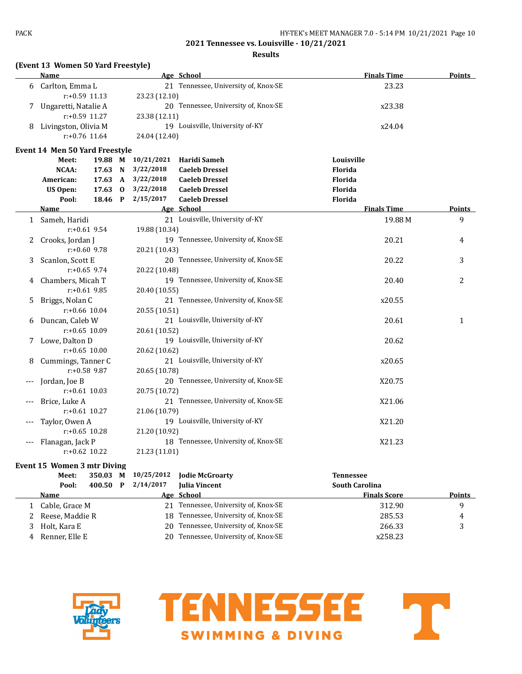### **Results**

# **(Event 13 Women 50 Yard Freestyle)**

|       | Name                                  |                 |               | Age School                           |            | <b>Finals Time</b> | <b>Points</b> |
|-------|---------------------------------------|-----------------|---------------|--------------------------------------|------------|--------------------|---------------|
| 6     | Carlton, Emma L                       |                 |               | 21 Tennessee, University of, Knox-SE |            | 23.23              |               |
|       | r:+0.59 11.13                         |                 | 23.23 (12.10) |                                      |            |                    |               |
| 7     | Ungaretti, Natalie A                  |                 |               | 20 Tennessee, University of, Knox-SE |            | x23.38             |               |
|       | $r: +0.59$ 11.27                      |                 | 23.38 (12.11) |                                      |            |                    |               |
| 8     | Livingston, Olivia M                  |                 |               | 19 Louisville, University of-KY      |            | x24.04             |               |
|       | $r: +0.76$ 11.64                      |                 | 24.04 (12.40) |                                      |            |                    |               |
|       | <b>Event 14 Men 50 Yard Freestyle</b> |                 |               |                                      |            |                    |               |
|       | Meet:                                 | 19.88 M         | 10/21/2021    | Haridi Sameh                         | Louisville |                    |               |
|       | <b>NCAA:</b>                          | 17.63 N         | 3/22/2018     | <b>Caeleb Dressel</b>                | Florida    |                    |               |
|       | American:                             | 17.63 A         | 3/22/2018     | <b>Caeleb Dressel</b>                | Florida    |                    |               |
|       | <b>US Open:</b>                       | $17.63 \quad 0$ | 3/22/2018     | <b>Caeleb Dressel</b>                | Florida    |                    |               |
|       | Pool:                                 | 18.46 P         | 2/15/2017     | <b>Caeleb Dressel</b>                | Florida    |                    |               |
|       | Name                                  |                 |               | Age School                           |            | <b>Finals Time</b> | Points        |
|       | 1 Sameh, Haridi                       |                 |               | 21 Louisville, University of-KY      |            | 19.88 M            | 9             |
|       | $r: +0.61$ 9.54                       |                 | 19.88 (10.34) |                                      |            |                    |               |
| 2     | Crooks, Jordan J                      |                 |               | 19 Tennessee, University of, Knox-SE |            | 20.21              | 4             |
|       | $r: +0.60$ 9.78                       |                 | 20.21 (10.43) |                                      |            |                    |               |
| 3     | Scanlon, Scott E                      |                 |               | 20 Tennessee, University of, Knox-SE |            | 20.22              | 3             |
|       | $r: +0.65$ 9.74                       |                 | 20.22 (10.48) |                                      |            |                    |               |
| 4     | Chambers, Micah T                     |                 |               | 19 Tennessee, University of, Knox-SE |            | 20.40              | 2             |
|       | $r: +0.61$ 9.85                       |                 | 20.40 (10.55) |                                      |            |                    |               |
| 5     | Briggs, Nolan C                       |                 |               | 21 Tennessee, University of, Knox-SE |            | x20.55             |               |
|       | $r: +0.66$ 10.04                      |                 | 20.55 (10.51) |                                      |            |                    |               |
| 6     | Duncan, Caleb W                       |                 |               | 21 Louisville, University of-KY      |            | 20.61              | $\mathbf{1}$  |
|       | $r: +0.65$ 10.09                      |                 | 20.61 (10.52) |                                      |            |                    |               |
| 7     | Lowe, Dalton D                        |                 |               | 19 Louisville, University of-KY      |            | 20.62              |               |
|       | $r: +0.65$ 10.00                      |                 | 20.62 (10.62) |                                      |            |                    |               |
| 8     | Cummings, Tanner C                    |                 |               | 21 Louisville, University of-KY      |            | x20.65             |               |
|       | $r: +0.58$ 9.87                       |                 | 20.65 (10.78) |                                      |            |                    |               |
| $---$ | Jordan, Joe B                         |                 |               | 20 Tennessee, University of, Knox-SE |            | X20.75             |               |
|       | $r: +0.61$ 10.03                      |                 | 20.75 (10.72) |                                      |            |                    |               |
|       | Brice, Luke A                         |                 |               | 21 Tennessee, University of, Knox-SE |            | X21.06             |               |
|       | $r: +0.61$ 10.27                      |                 | 21.06 (10.79) |                                      |            |                    |               |
|       | Taylor, Owen A                        |                 |               | 19 Louisville, University of-KY      |            | X21.20             |               |
|       | $r: +0.65$ 10.28                      |                 | 21.20 (10.92) |                                      |            |                    |               |
|       | Flanagan, Jack P                      |                 |               | 18 Tennessee, University of, Knox-SE |            | X21.23             |               |
|       | $r: +0.62$ 10.22                      |                 | 21.23 (11.01) |                                      |            |                    |               |

## **Event 15 Women 3 mtr Diving**

|   | Meet:           | 350.03 | М | 10/25/2012 | <b>Jodie McGroarty</b>               | <b>Tennessee</b>      |               |
|---|-----------------|--------|---|------------|--------------------------------------|-----------------------|---------------|
|   | Pool:           | 400.50 | P | 2/14/2017  | <b>Iulia Vincent</b>                 | <b>South Carolina</b> |               |
|   | <b>Name</b>     |        |   |            | Age School                           | <b>Finals Score</b>   | <b>Points</b> |
|   | Cable, Grace M  |        |   |            | 21 Tennessee, University of, Knox-SE | 312.90                | q             |
|   | Reese, Maddie R |        |   | 18.        | Tennessee, University of, Knox-SE    | 285.53                | 4             |
|   | Holt, Kara E    |        |   |            | 20 Tennessee, University of, Knox-SE | 266.33                |               |
| 4 | Renner, Elle E  |        |   | 20.        | Tennessee, University of, Knox-SE    | x258.23               |               |



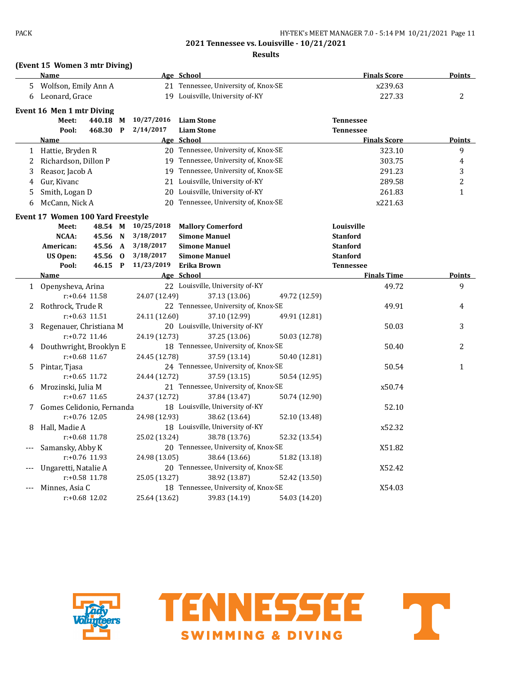### **Results**

## **(Event 15 Women 3 mtr Diving)**

|       | <b>Name</b>                       |          |              |               | Age School                                            |               | <b>Finals Score</b> | <b>Points</b>  |
|-------|-----------------------------------|----------|--------------|---------------|-------------------------------------------------------|---------------|---------------------|----------------|
| 5     | Wolfson, Emily Ann A              |          |              |               | 21 Tennessee, University of, Knox-SE                  |               | x239.63             |                |
| 6     | Leonard, Grace                    |          |              |               | 19 Louisville, University of-KY                       |               | 227.33              | 2              |
|       | Event 16 Men 1 mtr Diving         |          |              |               |                                                       |               |                     |                |
|       | Meet:                             | 440.18 M |              | 10/27/2016    | <b>Liam Stone</b>                                     |               | <b>Tennessee</b>    |                |
|       | Pool:                             | 468.30   | $\mathbf{P}$ | 2/14/2017     | <b>Liam Stone</b>                                     |               | <b>Tennessee</b>    |                |
|       | <b>Name</b>                       |          |              |               | Age School                                            |               | <b>Finals Score</b> | <b>Points</b>  |
|       | 1 Hattie, Bryden R                |          |              |               | 20 Tennessee, University of, Knox-SE                  |               | 323.10              | 9              |
| 2     | Richardson, Dillon P              |          |              |               | 19 Tennessee, University of, Knox-SE                  |               | 303.75              | 4              |
| 3     | Reasor, Jacob A                   |          |              | 19            | Tennessee, University of, Knox-SE                     |               | 291.23              | 3              |
| 4     | Gur, Kivanc                       |          |              | 21            | Louisville, University of-KY                          |               | 289.58              | $\overline{2}$ |
| 5     | Smith, Logan D                    |          |              | 20            | Louisville, University of-KY                          |               | 261.83              | $\mathbf{1}$   |
| 6     | McCann, Nick A                    |          |              | 20            | Tennessee, University of, Knox-SE                     |               | x221.63             |                |
|       | Event 17 Women 100 Yard Freestyle |          |              |               |                                                       |               |                     |                |
|       | Meet:                             | 48.54 M  |              | 10/25/2018    | <b>Mallory Comerford</b>                              |               | Louisville          |                |
|       | <b>NCAA:</b>                      | 45.56 N  |              | 3/18/2017     | <b>Simone Manuel</b>                                  |               | <b>Stanford</b>     |                |
|       | American:                         | 45.56    | $\mathbf{A}$ | 3/18/2017     | <b>Simone Manuel</b>                                  |               | <b>Stanford</b>     |                |
|       | <b>US Open:</b>                   | 45.56    | $\bf{0}$     | 3/18/2017     | <b>Simone Manuel</b>                                  |               | <b>Stanford</b>     |                |
|       | Pool:                             | 46.15 P  |              | 11/23/2019    | Erika Brown                                           |               | <b>Tennessee</b>    |                |
|       | <u>Name</u>                       |          |              |               | Age School                                            |               | <b>Finals Time</b>  | <b>Points</b>  |
|       | 1 Openysheva, Arina               |          |              |               | 22 Louisville, University of-KY                       |               | 49.72               | 9              |
|       | $r: +0.64$ 11.58                  |          |              | 24.07 (12.49) | 37.13 (13.06)                                         | 49.72 (12.59) |                     |                |
| 2     | Rothrock, Trude R                 |          |              |               | 22 Tennessee, University of, Knox-SE                  |               | 49.91               | 4              |
|       | $r: +0.63$ 11.51                  |          |              | 24.11 (12.60) | 37.10 (12.99)                                         | 49.91 (12.81) |                     |                |
| 3     | Regenauer, Christiana M           |          |              |               | 20 Louisville, University of-KY                       |               | 50.03               | 3              |
|       | r:+0.72 11.46                     |          |              | 24.19 (12.73) | 37.25 (13.06)                                         | 50.03 (12.78) |                     |                |
| 4     | Douthwright, Brooklyn E           |          |              |               | 18 Tennessee, University of, Knox-SE                  |               | 50.40               | 2              |
|       | $r: +0.68$ 11.67                  |          |              | 24.45 (12.78) | 37.59 (13.14)                                         | 50.40 (12.81) |                     |                |
| 5     | Pintar, Tjasa                     |          |              |               | 24 Tennessee, University of, Knox-SE                  |               | 50.54               | $\mathbf{1}$   |
|       | $r: +0.65$ 11.72                  |          |              | 24.44 (12.72) | 37.59 (13.15)                                         | 50.54 (12.95) |                     |                |
| 6     | Mrozinski, Julia M                |          |              |               | 21 Tennessee, University of, Knox-SE                  |               | x50.74              |                |
|       | $r: +0.67$ 11.65                  |          |              | 24.37 (12.72) | 37.84 (13.47)                                         | 50.74 (12.90) |                     |                |
| 7     | Gomes Celidonio, Fernanda         |          |              |               | 18 Louisville, University of-KY                       |               | 52.10               |                |
|       | $r: +0.76$ 12.05                  |          |              | 24.98 (12.93) | 38.62 (13.64)                                         | 52.10 (13.48) |                     |                |
| 8     | Hall, Madie A                     |          |              |               | 18 Louisville, University of-KY                       |               | x52.32              |                |
|       | $r: +0.68$ 11.78                  |          |              | 25.02 (13.24) | 38.78 (13.76)                                         | 52.32 (13.54) |                     |                |
| $---$ | Samansky, Abby K                  |          |              |               | 20 Tennessee, University of, Knox-SE                  |               | X51.82              |                |
|       | r:+0.76 11.93                     |          |              | 24.98 (13.05) | 38.64 (13.66)                                         | 51.82 (13.18) |                     |                |
| $---$ | Ungaretti, Natalie A              |          |              |               | 20 Tennessee, University of, Knox-SE                  |               | X52.42              |                |
|       | r:+0.58 11.78                     |          |              | 25.05 (13.27) | 38.92 (13.87)                                         | 52.42 (13.50) |                     |                |
| $---$ | Minnes, Asia C<br>r:+0.68 12.02   |          |              | 25.64 (13.62) | 18 Tennessee, University of, Knox-SE<br>39.83 (14.19) | 54.03 (14.20) | X54.03              |                |
|       |                                   |          |              |               |                                                       |               |                     |                |



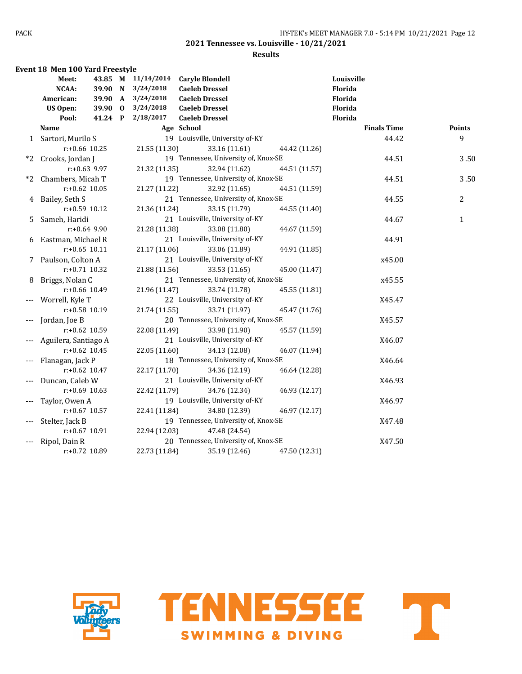|    | <b>Event 18 Men 100 Yard Freestyle</b> |         |                    |                                      |               |               |                    |               |
|----|----------------------------------------|---------|--------------------|--------------------------------------|---------------|---------------|--------------------|---------------|
|    | Meet:                                  |         | 43.85 M 11/14/2014 | <b>Caryle Blondell</b>               |               |               | Louisville         |               |
|    | NCAA:                                  | 39.90 N | 3/24/2018          | <b>Caeleb Dressel</b>                |               |               | Florida            |               |
|    | American:                              | 39.90 A | 3/24/2018          | <b>Caeleb Dressel</b>                |               |               | <b>Florida</b>     |               |
|    | <b>US Open:</b>                        | 39.90 0 | 3/24/2018          | <b>Caeleb Dressel</b>                |               |               | Florida            |               |
|    | Pool:                                  | 41.24 P | 2/18/2017          | <b>Caeleb Dressel</b>                |               |               | Florida            |               |
|    | <b>Name</b>                            |         |                    | Age School                           |               |               | <b>Finals Time</b> | <b>Points</b> |
|    | 1 Sartori, Murilo S                    |         |                    | 19 Louisville, University of-KY      |               |               | 44.42              | 9             |
|    | $r: +0.66$ 10.25                       |         | 21.55 (11.30)      |                                      | 33.16 (11.61) | 44.42 (11.26) |                    |               |
| *2 | Crooks, Jordan J                       |         |                    | 19 Tennessee, University of, Knox-SE |               |               | 44.51              | 3.50          |
|    | $r: +0.63$ 9.97                        |         | 21.32 (11.35)      |                                      | 32.94 (11.62) | 44.51 (11.57) |                    |               |
| *2 | Chambers, Micah T                      |         |                    | 19 Tennessee, University of, Knox-SE |               |               | 44.51              | 3.50          |
|    | $r: +0.62$ 10.05                       |         | 21.27 (11.22)      |                                      | 32.92 (11.65) | 44.51 (11.59) |                    |               |
| 4  | Bailey, Seth S                         |         |                    | 21 Tennessee, University of, Knox-SE |               |               | 44.55              | 2             |
|    | $r: +0.59$ 10.12                       |         | 21.36 (11.24)      |                                      | 33.15 (11.79) | 44.55 (11.40) |                    |               |
| 5. | Sameh, Haridi                          |         |                    | 21 Louisville, University of-KY      |               |               | 44.67              | $\mathbf{1}$  |
|    | $r: +0.64$ 9.90                        |         | 21.28 (11.38)      |                                      | 33.08 (11.80) | 44.67 (11.59) |                    |               |
| 6  | Eastman, Michael R                     |         |                    | 21 Louisville, University of-KY      |               |               | 44.91              |               |
|    | $r: +0.65$ 10.11                       |         | 21.17 (11.06)      |                                      | 33.06 (11.89) | 44.91 (11.85) |                    |               |
|    | 7 Paulson, Colton A                    |         |                    | 21 Louisville, University of-KY      |               |               | x45.00             |               |
|    | $r: +0.71$ 10.32                       |         | 21.88 (11.56)      |                                      | 33.53 (11.65) | 45.00 (11.47) |                    |               |
| 8  | Briggs, Nolan C                        |         |                    | 21 Tennessee, University of, Knox-SE |               |               | x45.55             |               |
|    | r:+0.66 10.49                          |         | 21.96 (11.47)      |                                      | 33.74 (11.78) | 45.55 (11.81) |                    |               |
|    | Worrell, Kyle T                        |         |                    | 22 Louisville, University of-KY      |               |               | X45.47             |               |
|    | r:+0.58 10.19                          |         | 21.74 (11.55)      |                                      | 33.71 (11.97) | 45.47 (11.76) |                    |               |
|    | Jordan, Joe B                          |         |                    | 20 Tennessee, University of, Knox-SE |               |               | X45.57             |               |
|    | r:+0.62 10.59                          |         | 22.08 (11.49)      |                                      | 33.98 (11.90) | 45.57 (11.59) |                    |               |
|    | Aguilera, Santiago A                   |         |                    | 21 Louisville, University of-KY      |               |               | X46.07             |               |
|    | $r: +0.62$ 10.45                       |         | 22.05 (11.60)      |                                      | 34.13 (12.08) | 46.07 (11.94) |                    |               |
|    | Flanagan, Jack P                       |         |                    | 18 Tennessee, University of, Knox-SE |               |               | X46.64             |               |
|    | $r: +0.62$ 10.47                       |         | 22.17 (11.70)      |                                      | 34.36 (12.19) | 46.64 (12.28) |                    |               |
|    | Duncan, Caleb W                        |         |                    | 21 Louisville, University of-KY      |               |               | X46.93             |               |
|    | $r: +0.69$ 10.63                       |         | 22.42 (11.79)      |                                      | 34.76 (12.34) | 46.93 (12.17) |                    |               |
|    | Taylor, Owen A                         |         |                    | 19 Louisville, University of-KY      |               |               | X46.97             |               |
|    | $r: +0.67$ 10.57                       |         | 22.41 (11.84)      |                                      | 34.80 (12.39) | 46.97 (12.17) |                    |               |
|    | Stelter, Jack B                        |         |                    | 19 Tennessee, University of, Knox-SE |               |               | X47.48             |               |
|    | r:+0.67 10.91                          |         | 22.94 (12.03)      |                                      | 47.48 (24.54) |               |                    |               |
|    | Ripol, Dain R                          |         |                    | 20 Tennessee, University of, Knox-SE |               |               | X47.50             |               |
|    | r:+0.72 10.89                          |         | 22.73 (11.84)      |                                      | 35.19 (12.46) | 47.50 (12.31) |                    |               |
|    |                                        |         |                    |                                      |               |               |                    |               |



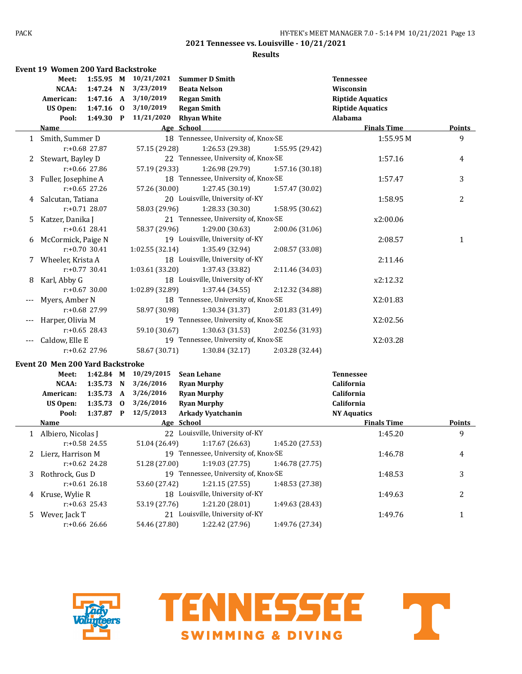### **Results**

|              | Event 19 Women 200 Yard Backstroke      |                  |          |                 |                                      |                 |                         |                |
|--------------|-----------------------------------------|------------------|----------|-----------------|--------------------------------------|-----------------|-------------------------|----------------|
|              | Meet:                                   | 1:55.95 M        |          | 10/21/2021      | <b>Summer D Smith</b>                |                 | <b>Tennessee</b>        |                |
|              | NCAA:                                   | 1:47.24 N        |          | 3/23/2019       | <b>Beata Nelson</b>                  |                 | Wisconsin               |                |
|              | American:                               | $1:47.16$ A      |          | 3/10/2019       | <b>Regan Smith</b>                   |                 | <b>Riptide Aquatics</b> |                |
|              | <b>US Open:</b>                         | 1:47.16 0        |          | 3/10/2019       | <b>Regan Smith</b>                   |                 | <b>Riptide Aquatics</b> |                |
|              | Pool:                                   | 1:49.30 P        |          | 11/21/2020      | <b>Rhyan White</b>                   |                 | Alabama                 |                |
|              | <u>Name</u>                             |                  |          |                 | Age School                           |                 | <b>Finals Time</b>      | <b>Points</b>  |
| $\mathbf{1}$ | Smith, Summer D                         |                  |          |                 | 18 Tennessee, University of, Knox-SE |                 | 1:55.95 M               | 9              |
|              |                                         | $r: +0.68$ 27.87 |          | 57.15 (29.28)   | 1:26.53 (29.38)                      | 1:55.95 (29.42) |                         |                |
| 2            | Stewart, Bayley D                       |                  |          |                 | 22 Tennessee, University of, Knox-SE |                 | 1:57.16                 | 4              |
|              |                                         | $r: +0.66$ 27.86 |          | 57.19 (29.33)   | 1:26.98 (29.79)                      | 1:57.16 (30.18) |                         |                |
| 3            | Fuller, Josephine A                     |                  |          |                 | 18 Tennessee, University of, Knox-SE |                 | 1:57.47                 | 3              |
|              |                                         | $r: +0.65$ 27.26 |          | 57.26 (30.00)   | 1:27.45 (30.19)                      | 1:57.47 (30.02) |                         |                |
| 4            | Salcutan, Tatiana                       |                  |          |                 | 20 Louisville, University of-KY      |                 | 1:58.95                 | $\overline{c}$ |
|              |                                         | $r: +0.71$ 28.07 |          | 58.03 (29.96)   | 1:28.33 (30.30)                      | 1:58.95 (30.62) |                         |                |
| 5.           | Katzer, Danika J                        |                  |          |                 | 21 Tennessee, University of, Knox-SE |                 | x2:00.06                |                |
|              |                                         | $r: +0.61$ 28.41 |          | 58.37 (29.96)   | 1:29.00 (30.63)                      | 2:00.06 (31.06) |                         |                |
| 6            | McCormick, Paige N                      |                  |          |                 | 19 Louisville, University of-KY      |                 | 2:08.57                 | $\mathbf{1}$   |
|              |                                         | $r: +0.70$ 30.41 |          | 1:02.55(32.14)  | 1:35.49 (32.94)                      | 2:08.57 (33.08) |                         |                |
| 7            | Wheeler, Krista A                       |                  |          |                 | 18 Louisville, University of-KY      |                 | 2:11.46                 |                |
|              |                                         | $r: +0.77$ 30.41 |          | 1:03.61 (33.20) | 1:37.43 (33.82)                      | 2:11.46 (34.03) |                         |                |
| 8            | Karl, Abby G                            |                  |          |                 | 18 Louisville, University of-KY      |                 | x2:12.32                |                |
|              |                                         | $r: +0.67$ 30.00 |          | 1:02.89 (32.89) | 1:37.44(34.55)                       | 2:12.32 (34.88) |                         |                |
| ---          | Myers, Amber N                          |                  |          |                 | 18 Tennessee, University of, Knox-SE |                 | X2:01.83                |                |
|              |                                         | r:+0.68 27.99    |          | 58.97 (30.98)   | 1:30.34 (31.37)                      | 2:01.83 (31.49) |                         |                |
|              | Harper, Olivia M                        |                  |          |                 | 19 Tennessee, University of, Knox-SE |                 | X2:02.56                |                |
|              |                                         | $r: +0.65$ 28.43 |          | 59.10 (30.67)   | 1:30.63 (31.53)                      | 2:02.56 (31.93) |                         |                |
| ---          | Caldow, Elle E                          |                  |          |                 | 19 Tennessee, University of, Knox-SE |                 | X2:03.28                |                |
|              |                                         | r:+0.62 27.96    |          | 58.67 (30.71)   | 1:30.84 (32.17)                      | 2:03.28 (32.44) |                         |                |
|              | <b>Event 20 Men 200 Yard Backstroke</b> |                  |          |                 |                                      |                 |                         |                |
|              | Meet:                                   | 1:42.84 M        |          | 10/29/2015      | <b>Sean Lehane</b>                   |                 | <b>Tennessee</b>        |                |
|              | NCAA:                                   | 1:35.73 N        |          | 3/26/2016       | <b>Ryan Murphy</b>                   |                 | California              |                |
|              | American:                               | 1:35.73 A        |          | 3/26/2016       | <b>Ryan Murphy</b>                   |                 | California              |                |
|              | <b>US Open:</b>                         | 1:35.73          | $\bf{0}$ | 3/26/2016       | <b>Ryan Murphy</b>                   |                 | California              |                |
|              | Pool:                                   | $1:37.87$ P      |          | 12/5/2013       | Arkady Vyatchanin                    |                 | <b>NY Aquatics</b>      |                |
|              | <u>Name</u>                             |                  |          |                 | Age School                           |                 | <b>Finals Time</b>      | <b>Points</b>  |
| 1            | Albiero, Nicolas J                      |                  |          |                 | 22 Louisville, University of-KY      |                 | 1:45.20                 | 9              |
|              |                                         | $r: +0.58$ 24.55 |          | 51.04 (26.49)   | 1:17.67 (26.63)                      | 1:45.20 (27.53) |                         |                |
|              | 2 Lierz, Harrison M                     |                  |          |                 | 19 Tennessee, University of, Knox-SE |                 | 1:46.78                 | 4              |
|              |                                         | $r: +0.62$ 24.28 |          | 51.28 (27.00)   | 1:19.03(27.75)                       | 1:46.78 (27.75) |                         |                |
| 3            | Rothrock, Gus D                         |                  |          |                 | 19 Tennessee, University of, Knox-SE |                 | 1:48.53                 | 3              |
|              |                                         | $r: +0.61$ 26.18 |          | 53.60 (27.42)   | 1:21.15(27.55)                       | 1:48.53 (27.38) |                         |                |
| 4            | Kruse, Wylie R                          |                  |          |                 | 18 Louisville, University of-KY      |                 | 1:49.63                 | 2              |
|              |                                         | $r: +0.63$ 25.43 |          | 53.19 (27.76)   | 1:21.20 (28.01)                      | 1:49.63 (28.43) |                         |                |
| 5.           | Wever, Jack T                           |                  |          |                 | 21 Louisville, University of-KY      |                 | 1:49.76                 | $\mathbf{1}$   |
|              |                                         | r:+0.66 26.66    |          | 54.46 (27.80)   | 1:22.42 (27.96)                      | 1:49.76 (27.34) |                         |                |
|              |                                         |                  |          |                 |                                      |                 |                         |                |



T **TENNESSEE SWIMMING & DIVING**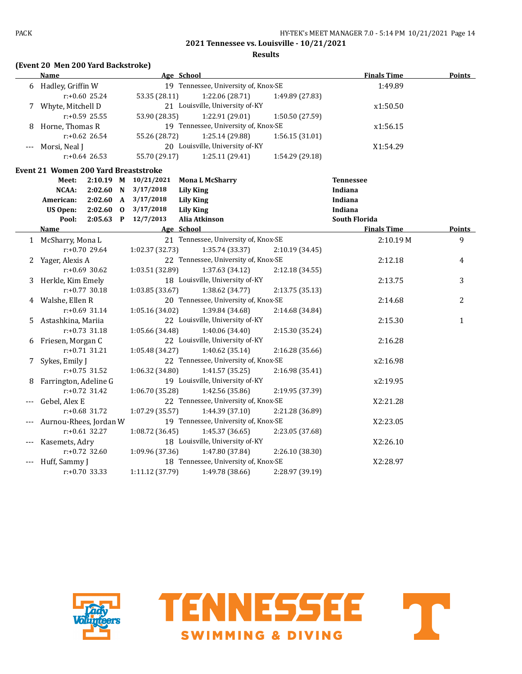**Results**

# **(Event 20 Men 200 Yard Backstroke)**

|       | Name                                 | Age School           |                                      |                 | <b>Finals Time</b>   | <b>Points</b> |
|-------|--------------------------------------|----------------------|--------------------------------------|-----------------|----------------------|---------------|
|       | 6 Hadley, Griffin W                  |                      | 19 Tennessee, University of, Knox-SE |                 | 1:49.89              |               |
|       | $r+0.60$ 25.24                       | 53.35 (28.11)        | 1:22.06 (28.71)                      | 1:49.89 (27.83) |                      |               |
|       | 7 Whyte, Mitchell D                  |                      | 21 Louisville, University of-KY      |                 | x1:50.50             |               |
|       | r:+0.59 25.55                        | 53.90 (28.35)        | 1:22.91 (29.01)                      | 1:50.50 (27.59) |                      |               |
| 8     | Horne, Thomas R                      |                      | 19 Tennessee, University of, Knox-SE |                 | x1:56.15             |               |
|       | $r: +0.62$ 26.54                     | 55.26 (28.72)        | 1:25.14 (29.88)                      | 1:56.15(31.01)  |                      |               |
|       | Morsi, Neal J                        |                      | 20 Louisville, University of-KY      |                 | X1:54.29             |               |
|       | $r: +0.64$ 26.53                     | 55.70 (29.17)        | 1:25.11 (29.41)                      | 1:54.29 (29.18) |                      |               |
|       | Event 21 Women 200 Yard Breaststroke |                      |                                      |                 |                      |               |
|       | Meet:                                | 2:10.19 M 10/21/2021 | <b>Mona L McSharry</b>               |                 | <b>Tennessee</b>     |               |
|       | NCAA:<br>2:02.60 N                   | 3/17/2018            | <b>Lily King</b>                     |                 | Indiana              |               |
|       | 2:02.60<br>$\mathbf{A}$<br>American: | 3/17/2018            | <b>Lily King</b>                     |                 | Indiana              |               |
|       | <b>US Open:</b><br>$2:02.60$ 0       | 3/17/2018            | <b>Lily King</b>                     |                 | Indiana              |               |
|       | Pool:<br>$2:05.63$ P                 | 12/7/2013            | Alia Atkinson                        |                 | <b>South Florida</b> |               |
|       | Name                                 | Age School           |                                      |                 | <b>Finals Time</b>   | Points        |
|       | 1 McSharry, Mona L                   |                      | 21 Tennessee, University of, Knox-SE |                 | 2:10.19M             | 9             |
|       | r:+0.70 29.64                        | 1:02.37 (32.73)      | 1:35.74 (33.37)                      | 2:10.19 (34.45) |                      |               |
| 2     | Yager, Alexis A                      |                      | 22 Tennessee, University of, Knox-SE |                 | 2:12.18              | 4             |
|       | $r: +0.69$ 30.62                     | 1:03.51 (32.89)      | 1:37.63 (34.12)                      | 2:12.18 (34.55) |                      |               |
|       | 3 Herkle, Kim Emely                  |                      | 18 Louisville, University of-KY      |                 | 2:13.75              | 3             |
|       | $r: +0.77$ 30.18                     | 1:03.85(33.67)       | 1:38.62 (34.77)                      | 2:13.75 (35.13) |                      |               |
|       | 4 Walshe, Ellen R                    |                      | 20 Tennessee, University of, Knox-SE |                 | 2:14.68              | 2             |
|       | $r: +0.69$ 31.14                     | 1:05.16 (34.02)      | 1:39.84 (34.68)                      | 2:14.68 (34.84) |                      |               |
| 5.    | Astashkina, Mariia                   |                      | 22 Louisville, University of-KY      |                 | 2:15.30              | $\mathbf{1}$  |
|       | $r: +0.73$ 31.18                     | 1:05.66 (34.48)      | 1:40.06 (34.40)                      | 2:15.30 (35.24) |                      |               |
| 6     | Friesen, Morgan C                    |                      | 22 Louisville, University of-KY      |                 | 2:16.28              |               |
|       | $r: +0.71$ 31.21                     | 1:05.48 (34.27)      | 1:40.62 (35.14)                      | 2:16.28 (35.66) |                      |               |
| 7     | Sykes, Emily J                       |                      | 22 Tennessee, University of, Knox-SE |                 | x2:16.98             |               |
|       | $r: +0.75$ 31.52                     | 1:06.32 (34.80)      | 1:41.57 (35.25)                      | 2:16.98 (35.41) |                      |               |
| 8     | Farrington, Adeline G                |                      | 19 Louisville, University of-KY      |                 | x2:19.95             |               |
|       | $r: +0.72$ 31.42                     | 1:06.70 (35.28)      | 1:42.56 (35.86)                      | 2:19.95 (37.39) |                      |               |
|       | Gebel, Alex E                        |                      | 22 Tennessee, University of, Knox-SE |                 | X2:21.28             |               |
|       | r:+0.68 31.72                        | 1:07.29(35.57)       | 1:44.39 (37.10)                      | 2:21.28 (36.89) |                      |               |
|       | Aurnou-Rhees, Jordan W               |                      | 19 Tennessee, University of, Knox-SE |                 | X2:23.05             |               |
|       | $r: +0.61$ 32.27                     | 1:08.72 (36.45)      | 1:45.37 (36.65)                      | 2:23.05 (37.68) |                      |               |
|       | Kasemets, Adry                       |                      | 18 Louisville, University of-KY      |                 | X2:26.10             |               |
|       | $r: +0.72$ 32.60                     | 1:09.96 (37.36)      | 1:47.80 (37.84)                      | 2:26.10 (38.30) |                      |               |
| $---$ | Huff, Sammy J                        |                      | 18 Tennessee, University of, Knox-SE |                 | X2:28.97             |               |
|       | $r: +0.70$ 33.33                     | 1:11.12 (37.79)      | 1:49.78 (38.66)                      | 2:28.97 (39.19) |                      |               |



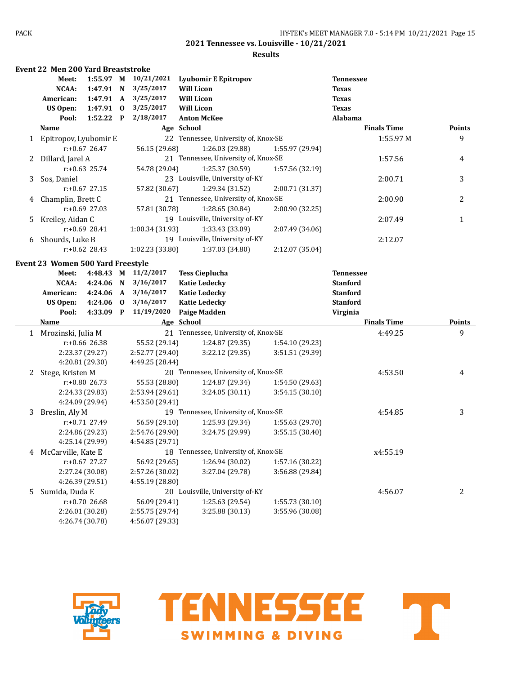### **Results**

|    | <b>Event 22 Men 200 Yard Breaststroke</b> |                  |          |                 |                                      |                 |                    |               |
|----|-------------------------------------------|------------------|----------|-----------------|--------------------------------------|-----------------|--------------------|---------------|
|    | Meet:                                     | 1:55.97 M        |          | 10/21/2021      | Lyubomir E Epitropov                 |                 | <b>Tennessee</b>   |               |
|    | <b>NCAA:</b>                              | 1:47.91 N        |          | 3/25/2017       | <b>Will Licon</b>                    |                 | <b>Texas</b>       |               |
|    | American:                                 | 1:47.91 A        |          | 3/25/2017       | <b>Will Licon</b>                    |                 | <b>Texas</b>       |               |
|    | <b>US Open:</b>                           | 1:47.91 0        |          | 3/25/2017       | <b>Will Licon</b>                    |                 | <b>Texas</b>       |               |
|    | Pool:                                     | $1:52.22$ P      |          | 2/18/2017       | <b>Anton McKee</b>                   |                 | Alabama            |               |
|    | Name                                      |                  |          |                 | Age School                           |                 | <b>Finals Time</b> | <b>Points</b> |
|    | 1 Epitropov, Lyubomir E                   |                  |          |                 | 22 Tennessee, University of, Knox-SE |                 | 1:55.97 M          | 9             |
|    |                                           | $r: +0.67$ 26.47 |          | 56.15 (29.68)   | 1:26.03 (29.88)                      | 1:55.97 (29.94) |                    |               |
| 2  | Dillard, Jarel A                          |                  |          |                 | 21 Tennessee, University of, Knox-SE |                 | 1:57.56            | 4             |
|    |                                           | $r: +0.63$ 25.74 |          | 54.78 (29.04)   | 1:25.37 (30.59)                      | 1:57.56 (32.19) |                    |               |
| 3  | Sos, Daniel                               |                  |          |                 | 23 Louisville, University of-KY      |                 | 2:00.71            | 3             |
|    |                                           | $r: +0.67$ 27.15 |          | 57.82 (30.67)   | 1:29.34 (31.52)                      | 2:00.71 (31.37) |                    |               |
| 4  | Champlin, Brett C                         |                  |          |                 | 21 Tennessee, University of, Knox-SE |                 | 2:00.90            | 2             |
|    |                                           | $r: +0.69$ 27.03 |          | 57.81 (30.78)   | 1:28.65 (30.84)                      | 2:00.90 (32.25) |                    |               |
| 5. | Kreiley, Aidan C                          |                  |          |                 | 19 Louisville, University of-KY      |                 | 2:07.49            | 1             |
|    |                                           | $r: +0.69$ 28.41 |          | 1:00.34 (31.93) | 1:33.43 (33.09)                      | 2:07.49 (34.06) |                    |               |
| 6  | Shourds, Luke B                           |                  |          |                 | 19 Louisville, University of-KY      |                 | 2:12.07            |               |
|    |                                           | $r: +0.62$ 28.43 |          | 1:02.23 (33.80) | 1:37.03 (34.80)                      | 2:12.07 (35.04) |                    |               |
|    |                                           |                  |          |                 |                                      |                 |                    |               |
|    | Event 23 Women 500 Yard Freestyle         |                  |          |                 |                                      |                 |                    |               |
|    | Meet:                                     | 4:48.43 M        |          | 11/2/2017       | <b>Tess Cieplucha</b>                |                 | <b>Tennessee</b>   |               |
|    | NCAA:                                     | 4:24.06 N        |          | 3/16/2017       | <b>Katie Ledecky</b>                 |                 | <b>Stanford</b>    |               |
|    | American:                                 | 4:24.06          | A        | 3/16/2017       | <b>Katie Ledecky</b>                 |                 | <b>Stanford</b>    |               |
|    | <b>US Open:</b>                           | 4:24.06          | $\bf{0}$ | 3/16/2017       | <b>Katie Ledecky</b>                 |                 | <b>Stanford</b>    |               |
|    | Pool:                                     | 4:33.09 P        |          | 11/19/2020      | <b>Paige Madden</b>                  |                 | Virginia           |               |
|    | Name                                      |                  |          |                 | Age School                           |                 | <b>Finals Time</b> | <b>Points</b> |
|    | 1 Mrozinski, Julia M                      |                  |          |                 | 21 Tennessee, University of, Knox-SE |                 | 4:49.25            | 9             |
|    |                                           | $r: +0.66$ 26.38 |          | 55.52 (29.14)   | 1:24.87 (29.35)                      | 1:54.10 (29.23) |                    |               |
|    |                                           | 2:23.37 (29.27)  |          | 2:52.77 (29.40) | 3:22.12(29.35)                       | 3:51.51 (29.39) |                    |               |
|    |                                           | 4:20.81 (29.30)  |          | 4:49.25 (28.44) |                                      |                 |                    |               |
| 2  | Stege, Kristen M                          |                  |          |                 | 20 Tennessee, University of, Knox-SE |                 | 4:53.50            | 4             |
|    |                                           | $r: +0.80$ 26.73 |          | 55.53 (28.80)   | 1:24.87 (29.34)                      | 1:54.50 (29.63) |                    |               |
|    |                                           | 2:24.33 (29.83)  |          | 2:53.94 (29.61) | 3:24.05 (30.11)                      | 3:54.15 (30.10) |                    |               |
|    |                                           | 4:24.09 (29.94)  |          | 4:53.50 (29.41) |                                      |                 |                    |               |
| 3  | Breslin, Aly M                            |                  |          |                 | 19 Tennessee, University of, Knox-SE |                 | 4:54.85            | 3             |
|    |                                           | $r: +0.71$ 27.49 |          | 56.59 (29.10)   | 1:25.93 (29.34)                      | 1:55.63 (29.70) |                    |               |
|    |                                           | 2:24.86 (29.23)  |          | 2:54.76 (29.90) | 3:24.75 (29.99)                      | 3:55.15 (30.40) |                    |               |
|    |                                           | 4:25.14 (29.99)  |          | 4:54.85 (29.71) |                                      |                 |                    |               |
| 4  | McCarville, Kate E                        |                  |          |                 | 18 Tennessee, University of, Knox-SE |                 | x4:55.19           |               |
|    |                                           | r:+0.67 27.27    |          | 56.92 (29.65)   | 1:26.94 (30.02)                      | 1:57.16 (30.22) |                    |               |
|    |                                           | 2:27.24 (30.08)  |          | 2:57.26 (30.02) | 3:27.04 (29.78)                      | 3:56.88 (29.84) |                    |               |
|    |                                           | 4:26.39 (29.51)  |          | 4:55.19 (28.80) |                                      |                 |                    |               |
| 5  | Sumida, Duda E                            |                  |          |                 | 20 Louisville, University of-KY      |                 | 4:56.07            | 2             |
|    |                                           | $r: +0.70$ 26.68 |          | 56.09 (29.41)   | 1:25.63 (29.54)                      | 1:55.73 (30.10) |                    |               |
|    |                                           | 2:26.01 (30.28)  |          | 2:55.75 (29.74) | 3:25.88 (30.13)                      | 3:55.96 (30.08) |                    |               |
|    |                                           | 4:26.74 (30.78)  |          | 4:56.07 (29.33) |                                      |                 |                    |               |





T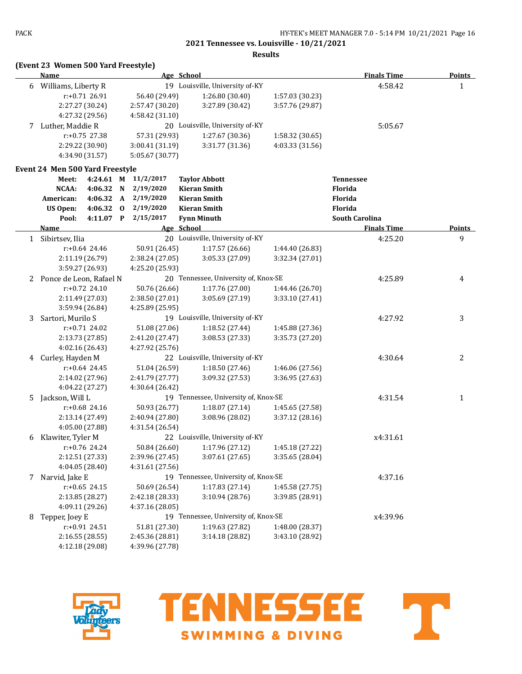**Results**

| (Event 23 Women 500 Yard Freestyle) |  |  |  |
|-------------------------------------|--|--|--|
|-------------------------------------|--|--|--|

|    | <b>Name</b>                     |                  | Age School   |                 |                                      | <b>Finals Time</b> | <b>Points</b>         |              |
|----|---------------------------------|------------------|--------------|-----------------|--------------------------------------|--------------------|-----------------------|--------------|
|    | 6 Williams, Liberty R           |                  |              |                 | 19 Louisville, University of-KY      |                    | 4:58.42               | $\mathbf{1}$ |
|    |                                 | $r: +0.71$ 26.91 |              | 56.40 (29.49)   | 1:26.80 (30.40)                      | 1:57.03 (30.23)    |                       |              |
|    |                                 | 2:27.27 (30.24)  |              | 2:57.47 (30.20) | 3:27.89 (30.42)                      | 3:57.76 (29.87)    |                       |              |
|    |                                 | 4:27.32 (29.56)  |              | 4:58.42 (31.10) |                                      |                    |                       |              |
| 7  | Luther, Maddie R                |                  |              |                 | 20 Louisville, University of-KY      |                    | 5:05.67               |              |
|    |                                 | $r: +0.75$ 27.38 |              | 57.31 (29.93)   | 1:27.67 (30.36)                      | 1:58.32 (30.65)    |                       |              |
|    |                                 | 2:29.22 (30.90)  |              | 3:00.41 (31.19) | 3:31.77 (31.36)                      | 4:03.33 (31.56)    |                       |              |
|    |                                 | 4:34.90 (31.57)  |              | 5:05.67 (30.77) |                                      |                    |                       |              |
|    | Event 24 Men 500 Yard Freestyle |                  |              |                 |                                      |                    |                       |              |
|    | Meet:                           | 4:24.61 M        |              | 11/2/2017       | <b>Taylor Abbott</b>                 |                    | <b>Tennessee</b>      |              |
|    | NCAA:                           | 4:06.32          | $\mathbf N$  | 2/19/2020       | <b>Kieran Smith</b>                  |                    | Florida               |              |
|    | American:                       | 4:06.32          | $\mathbf{A}$ | 2/19/2020       | <b>Kieran Smith</b>                  |                    | Florida               |              |
|    | <b>US Open:</b>                 | 4:06.32 0        |              | 2/19/2020       | <b>Kieran Smith</b>                  |                    | Florida               |              |
|    | Pool:                           | 4:11.07 P        |              | 2/15/2017       | <b>Fynn Minuth</b>                   |                    | <b>South Carolina</b> |              |
|    | Name                            |                  |              |                 | Age School                           |                    | <b>Finals Time</b>    | Points       |
|    | 1 Sibirtsev, Ilia               |                  |              |                 | 20 Louisville, University of-KY      |                    | 4:25.20               | 9            |
|    |                                 | $r: +0.64$ 24.46 |              | 50.91 (26.45)   | 1:17.57(26.66)                       | 1:44.40 (26.83)    |                       |              |
|    |                                 | 2:11.19 (26.79)  |              | 2:38.24 (27.05) | 3:05.33 (27.09)                      | 3:32.34 (27.01)    |                       |              |
|    |                                 | 3:59.27 (26.93)  |              | 4:25.20 (25.93) |                                      |                    |                       |              |
| 2  | Ponce de Leon, Rafael N         |                  |              |                 | 20 Tennessee, University of, Knox-SE |                    | 4:25.89               | 4            |
|    |                                 | $r: +0.72$ 24.10 |              | 50.76 (26.66)   | 1:17.76 (27.00)                      | 1:44.46 (26.70)    |                       |              |
|    |                                 | 2:11.49 (27.03)  |              | 2:38.50 (27.01) | 3:05.69 (27.19)                      | 3:33.10 (27.41)    |                       |              |
|    |                                 | 3:59.94 (26.84)  |              | 4:25.89 (25.95) |                                      |                    |                       |              |
| 3  | Sartori, Murilo S               |                  |              |                 | 19 Louisville, University of-KY      |                    | 4:27.92               | 3            |
|    |                                 | $r: +0.71$ 24.02 |              | 51.08 (27.06)   | 1:18.52 (27.44)                      | 1:45.88 (27.36)    |                       |              |
|    |                                 | 2:13.73 (27.85)  |              | 2:41.20 (27.47) | 3:08.53 (27.33)                      | 3:35.73 (27.20)    |                       |              |
|    |                                 | 4:02.16 (26.43)  |              | 4:27.92 (25.76) |                                      |                    |                       |              |
| 4  | Curley, Hayden M                |                  |              |                 | 22 Louisville, University of-KY      |                    | 4:30.64               | 2            |
|    |                                 | $r: +0.64$ 24.45 |              | 51.04 (26.59)   | 1:18.50 (27.46)                      | 1:46.06 (27.56)    |                       |              |
|    |                                 | 2:14.02 (27.96)  |              | 2:41.79 (27.77) | 3:09.32 (27.53)                      | 3:36.95 (27.63)    |                       |              |
|    |                                 | 4:04.22 (27.27)  |              | 4:30.64 (26.42) |                                      |                    |                       |              |
| 5. | Jackson, Will L                 |                  |              |                 | 19 Tennessee, University of, Knox-SE |                    | 4:31.54               | $\mathbf{1}$ |
|    |                                 | r:+0.68 24.16    |              | 50.93 (26.77)   | 1:18.07(27.14)                       | 1:45.65 (27.58)    |                       |              |
|    |                                 | 2:13.14 (27.49)  |              | 2:40.94 (27.80) | 3:08.96 (28.02)                      | 3:37.12 (28.16)    |                       |              |
|    |                                 | 4:05.00 (27.88)  |              | 4:31.54 (26.54) |                                      |                    |                       |              |
| 6  | Klawiter, Tyler M               |                  |              |                 | 22 Louisville, University of-KY      |                    | x4:31.61              |              |
|    |                                 | $r: +0.76$ 24.24 |              | 50.84 (26.60)   | 1:17.96 (27.12)                      | 1:45.18 (27.22)    |                       |              |
|    |                                 | 2:12.51 (27.33)  |              | 2:39.96 (27.45) | 3:07.61 (27.65)                      | 3:35.65 (28.04)    |                       |              |
|    |                                 | 4:04.05 (28.40)  |              | 4:31.61 (27.56) |                                      |                    |                       |              |
| 7  | Narvid, Jake E                  |                  |              |                 | 19 Tennessee, University of, Knox-SE |                    | 4:37.16               |              |
|    |                                 | $r: +0.65$ 24.15 |              | 50.69 (26.54)   | 1:17.83 (27.14)                      | 1:45.58 (27.75)    |                       |              |
|    |                                 | 2:13.85 (28.27)  |              | 2:42.18 (28.33) | 3:10.94 (28.76)                      | 3:39.85 (28.91)    |                       |              |
|    |                                 |                  |              | 4:37.16 (28.05) |                                      |                    |                       |              |
|    | Tepper, Joey E                  | 4:09.11 (29.26)  |              |                 | 19 Tennessee, University of, Knox-SE |                    | x4:39.96              |              |
| 8  |                                 |                  |              | 51.81 (27.30)   | 1:19.63 (27.82)                      | 1:48.00 (28.37)    |                       |              |
|    |                                 | r:+0.91 24.51    |              |                 | 3:14.18(28.82)                       | 3:43.10 (28.92)    |                       |              |
|    |                                 | 2:16.55 (28.55)  |              | 2:45.36 (28.81) |                                      |                    |                       |              |
|    |                                 | 4:12.18 (29.08)  |              | 4:39.96 (27.78) |                                      |                    |                       |              |



**TENNESSEE SWIMMING & DIVING** 

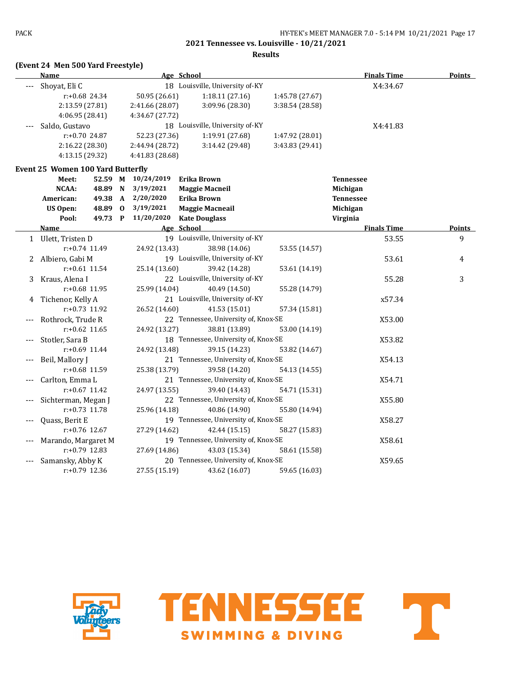**Results**

# **(Event 24 Men 500 Yard Freestyle)**

|   | Name                                     |         |                    | Age School                           |                 | <b>Finals Time</b> | <b>Points</b> |
|---|------------------------------------------|---------|--------------------|--------------------------------------|-----------------|--------------------|---------------|
|   | Shoyat, Eli C                            |         |                    | 18 Louisville, University of-KY      |                 | X4:34.67           |               |
|   | r:+0.68 24.34                            |         | 50.95 (26.61)      | 1:18.11 (27.16)                      | 1:45.78 (27.67) |                    |               |
|   | 2:13.59 (27.81)                          |         | 2:41.66 (28.07)    | 3:09.96 (28.30)                      | 3:38.54 (28.58) |                    |               |
|   | 4:06.95(28.41)                           |         | 4:34.67 (27.72)    |                                      |                 |                    |               |
|   | Saldo, Gustavo                           |         |                    | 18 Louisville, University of-KY      |                 | X4:41.83           |               |
|   | $r: +0.70$ 24.87                         |         | 52.23 (27.36)      | 1:19.91 (27.68)                      | 1:47.92 (28.01) |                    |               |
|   | 2:16.22 (28.30)                          |         | 2:44.94 (28.72)    | 3:14.42 (29.48)                      | 3:43.83 (29.41) |                    |               |
|   | 4:13.15 (29.32)                          |         | 4:41.83 (28.68)    |                                      |                 |                    |               |
|   | <b>Event 25 Women 100 Yard Butterfly</b> |         |                    |                                      |                 |                    |               |
|   | Meet:                                    |         | 52.59 M 10/24/2019 | <b>Erika Brown</b>                   |                 | <b>Tennessee</b>   |               |
|   | NCAA:                                    | 48.89 N | 3/19/2021          | <b>Maggie Macneil</b>                |                 | Michigan           |               |
|   | American:                                | 49.38 A | 2/20/2020          | Erika Brown                          |                 | <b>Tennessee</b>   |               |
|   | <b>US Open:</b>                          | 48.89 0 | 3/19/2021          | <b>Maggie Macneail</b>               |                 | Michigan           |               |
|   | Pool:                                    | 49.73 P | 11/20/2020         | <b>Kate Douglass</b>                 |                 | Virginia           |               |
|   | Name                                     |         |                    | Age School                           |                 | <b>Finals Time</b> | Points        |
|   | 1 Ulett, Tristen D                       |         |                    | 19 Louisville, University of-KY      |                 | 53.55              | 9             |
|   | r:+0.74 11.49                            |         | 24.92 (13.43)      | 38.98 (14.06)                        | 53.55 (14.57)   |                    |               |
| 2 | Albiero, Gabi M                          |         |                    | 19 Louisville, University of-KY      |                 | 53.61              | 4             |
|   | $r: +0.61$ 11.54                         |         | 25.14 (13.60)      | 39.42 (14.28)                        | 53.61 (14.19)   |                    |               |
|   | 3 Kraus, Alena I                         |         |                    | 22 Louisville, University of-KY      |                 | 55.28              | 3             |
|   | r:+0.68 11.95                            |         | 25.99 (14.04)      | 40.49 (14.50)                        | 55.28 (14.79)   |                    |               |
| 4 | Tichenor, Kelly A                        |         |                    | 21 Louisville, University of-KY      |                 | x57.34             |               |
|   | $r: +0.73$ 11.92                         |         | 26.52 (14.60)      | 41.53 (15.01)                        | 57.34 (15.81)   |                    |               |
|   | Rothrock, Trude R                        |         |                    | 22 Tennessee, University of, Knox-SE |                 | X53.00             |               |
|   | $r: +0.62$ 11.65                         |         | 24.92 (13.27)      | 38.81 (13.89)                        | 53.00 (14.19)   |                    |               |
|   | Stotler, Sara B                          |         |                    | 18 Tennessee, University of, Knox-SE |                 | X53.82             |               |
|   | $r: +0.69$ 11.44                         |         | 24.92 (13.48)      | 39.15 (14.23)                        | 53.82 (14.67)   |                    |               |
|   | Beil, Mallory J                          |         |                    | 21 Tennessee, University of, Knox-SE |                 | X54.13             |               |
|   | $r: +0.68$ 11.59                         |         | 25.38 (13.79)      | 39.58 (14.20)                        | 54.13 (14.55)   |                    |               |
|   | Carlton, Emma L                          |         |                    | 21 Tennessee, University of, Knox-SE |                 | X54.71             |               |
|   | $r: +0.67$ 11.42                         |         | 24.97 (13.55)      | 39.40 (14.43)                        | 54.71 (15.31)   |                    |               |
|   | Sichterman, Megan J                      |         |                    | 22 Tennessee, University of, Knox-SE |                 | X55.80             |               |
|   | r:+0.73 11.78                            |         | 25.96 (14.18)      | 40.86 (14.90)                        | 55.80 (14.94)   |                    |               |
|   | Quass, Berit E                           |         |                    | 19 Tennessee, University of, Knox-SE |                 | X58.27             |               |
|   | r:+0.76 12.67                            |         | 27.29 (14.62)      | 42.44 (15.15)                        | 58.27 (15.83)   |                    |               |
|   | Marando, Margaret M                      |         |                    | 19 Tennessee, University of, Knox-SE |                 | X58.61             |               |
|   | $r: +0.79$ 12.83                         |         | 27.69 (14.86)      | 43.03 (15.34)                        | 58.61 (15.58)   |                    |               |
|   | Samansky, Abby K                         |         |                    | 20 Tennessee, University of, Knox-SE |                 | X59.65             |               |
|   | r:+0.79 12.36                            |         | 27.55 (15.19)      | 43.62 (16.07)                        | 59.65 (16.03)   |                    |               |



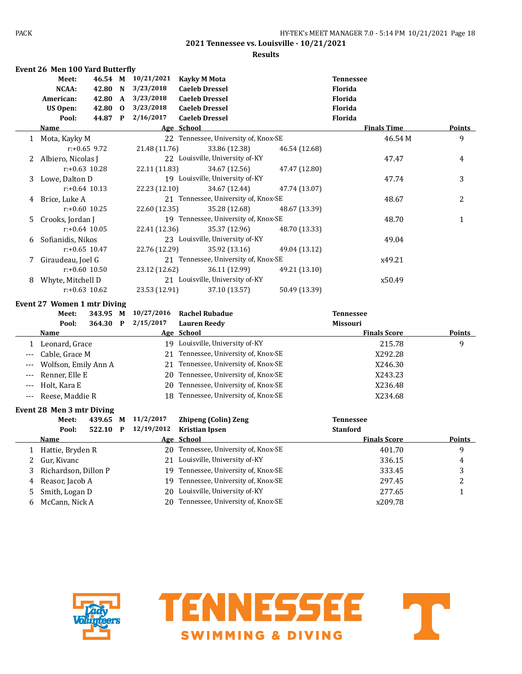|              | <b>Event 26 Men 100 Yard Butterfly</b> |                  |              |               |                                      |               |                     |                |
|--------------|----------------------------------------|------------------|--------------|---------------|--------------------------------------|---------------|---------------------|----------------|
|              | Meet:                                  | 46.54 M          |              | 10/21/2021    | <b>Kayky M Mota</b>                  |               | <b>Tennessee</b>    |                |
|              | NCAA:                                  | 42.80            | N            | 3/23/2018     | <b>Caeleb Dressel</b>                |               | <b>Florida</b>      |                |
|              | American:                              | 42.80            | $\mathbf{A}$ | 3/23/2018     | <b>Caeleb Dressel</b>                |               | Florida             |                |
|              | <b>US Open:</b>                        | 42.80            | $\bf{0}$     | 3/23/2018     | <b>Caeleb Dressel</b>                |               | <b>Florida</b>      |                |
|              | Pool:                                  | 44.87 P          |              | 2/16/2017     | <b>Caeleb Dressel</b>                |               | Florida             |                |
|              | Name                                   |                  |              |               | Age School                           |               | <b>Finals Time</b>  | <b>Points</b>  |
| $\mathbf{1}$ | Mota, Kayky M                          |                  |              |               | 22 Tennessee, University of, Knox-SE |               | 46.54M              | 9              |
|              |                                        | $r: +0.65$ 9.72  |              | 21.48 (11.76) | 33.86 (12.38)                        | 46.54 (12.68) |                     |                |
| 2            | Albiero, Nicolas J                     |                  |              |               | 22 Louisville, University of-KY      |               | 47.47               | 4              |
|              |                                        | $r: +0.63$ 10.28 |              | 22.11 (11.83) | 34.67 (12.56)                        | 47.47 (12.80) |                     |                |
| 3            | Lowe, Dalton D                         |                  |              |               | 19 Louisville, University of-KY      |               | 47.74               | 3              |
|              |                                        | $r: +0.64$ 10.13 |              | 22.23 (12.10) | 34.67 (12.44)                        | 47.74 (13.07) |                     |                |
| 4            | Brice, Luke A                          |                  |              |               | 21 Tennessee, University of, Knox-SE |               | 48.67               | 2              |
|              |                                        | $r: +0.60$ 10.25 |              | 22.60 (12.35) | 35.28 (12.68)                        | 48.67 (13.39) |                     |                |
| 5.           | Crooks, Jordan J                       |                  |              |               | 19 Tennessee, University of, Knox-SE |               | 48.70               | $\mathbf{1}$   |
|              |                                        | $r: +0.64$ 10.05 |              | 22.41 (12.36) | 35.37 (12.96)                        | 48.70 (13.33) |                     |                |
| 6            | Sofianidis, Nikos                      |                  |              |               | 23 Louisville, University of-KY      |               | 49.04               |                |
|              |                                        | $r: +0.65$ 10.47 |              | 22.76 (12.29) | 35.92 (13.16)                        | 49.04 (13.12) |                     |                |
| 7            | Giraudeau, Joel G                      |                  |              |               | 21 Tennessee, University of, Knox-SE |               | x49.21              |                |
|              |                                        | $r: +0.60$ 10.50 |              | 23.12 (12.62) | 36.11 (12.99)                        | 49.21 (13.10) |                     |                |
| 8            | Whyte, Mitchell D                      |                  |              |               | 21 Louisville, University of-KY      |               | x50.49              |                |
|              |                                        | $r: +0.63$ 10.62 |              | 23.53 (12.91) | 37.10 (13.57)                        | 50.49 (13.39) |                     |                |
|              | Event 27 Women 1 mtr Diving            |                  |              |               |                                      |               |                     |                |
|              | Meet:                                  | 343.95 M         |              | 10/27/2016    | <b>Rachel Rubadue</b>                |               | <b>Tennessee</b>    |                |
|              | Pool:                                  | 364.30 P         |              | 2/15/2017     | <b>Lauren Reedy</b>                  |               | <b>Missouri</b>     |                |
|              | <b>Name</b>                            |                  |              |               | Age School                           |               | <b>Finals Score</b> | <b>Points</b>  |
|              | 1 Leonard, Grace                       |                  |              |               | 19 Louisville, University of-KY      |               | 215.78              | 9              |
|              | Cable, Grace M                         |                  |              |               | 21 Tennessee, University of, Knox-SE |               | X292.28             |                |
|              | Wolfson, Emily Ann A                   |                  |              |               | 21 Tennessee, University of, Knox-SE |               | X246.30             |                |
|              | Renner, Elle E                         |                  |              | 20            | Tennessee, University of, Knox-SE    |               | X243.23             |                |
| $---$        | Holt, Kara E                           |                  |              | 20            | Tennessee, University of, Knox-SE    |               | X236.48             |                |
| $---$        | Reese, Maddie R                        |                  |              | 18            | Tennessee, University of, Knox-SE    |               | X234.68             |                |
|              | Event 28 Men 3 mtr Diving              |                  |              |               |                                      |               |                     |                |
|              | Meet:                                  | 439.65           | M            | 11/2/2017     | <b>Zhipeng (Colin) Zeng</b>          |               | <b>Tennessee</b>    |                |
|              | Pool:                                  | 522.10 P         |              | 12/19/2012    | <b>Kristian Ipsen</b>                |               | <b>Stanford</b>     |                |
|              | Name                                   |                  |              |               | Age School                           |               | <b>Finals Score</b> | Points         |
|              | 1 Hattie, Bryden R                     |                  |              |               | 20 Tennessee, University of, Knox-SE |               | 401.70              | 9              |
| 2            | Gur, Kivanc                            |                  |              |               | 21 Louisville, University of-KY      |               | 336.15              | 4              |
| 3            | Richardson, Dillon P                   |                  |              |               | 19 Tennessee, University of, Knox-SE |               | 333.45              | 3              |
| 4            | Reasor, Jacob A                        |                  |              |               | 19 Tennessee, University of, Knox-SE |               | 297.45              | $\overline{c}$ |
| 5            | Smith, Logan D                         |                  |              |               | 20 Louisville, University of-KY      |               | 277.65              | $\mathbf{1}$   |
| 6            | McCann, Nick A                         |                  |              |               | 20 Tennessee, University of, Knox-SE |               | x209.78             |                |
|              |                                        |                  |              |               |                                      |               |                     |                |



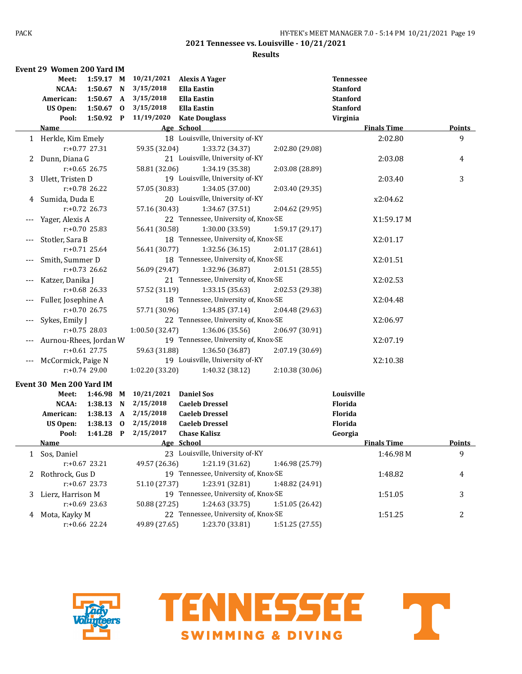|       | Event 29 Women 200 Yard IM   |                      |                             |                         |                                                         |                 |                    |                |
|-------|------------------------------|----------------------|-----------------------------|-------------------------|---------------------------------------------------------|-----------------|--------------------|----------------|
|       | Meet:                        | 1:59.17 M            |                             | 10/21/2021              | <b>Alexis A Yager</b>                                   |                 | <b>Tennessee</b>   |                |
|       | <b>NCAA:</b>                 | $1:50.67$ N          |                             | 3/15/2018               | <b>Ella Eastin</b>                                      |                 | <b>Stanford</b>    |                |
|       | American:                    | 1:50.67 A            |                             | 3/15/2018               | <b>Ella Eastin</b>                                      |                 | <b>Stanford</b>    |                |
|       | <b>US Open:</b>              | $1:50.67$ 0          |                             | 3/15/2018               | <b>Ella Eastin</b>                                      |                 | <b>Stanford</b>    |                |
|       | Pool:                        | 1:50.92 P            |                             | 11/19/2020              | <b>Kate Douglass</b>                                    |                 | Virginia           |                |
|       | Name                         |                      |                             |                         | Age School                                              |                 | <b>Finals Time</b> | <b>Points</b>  |
|       | 1 Herkle, Kim Emely          |                      |                             |                         | 18 Louisville, University of-KY                         |                 | 2:02.80            | 9              |
|       |                              | $r: +0.77$ 27.31     |                             | 59.35 (32.04)           | 1:33.72 (34.37)                                         | 2:02.80 (29.08) |                    |                |
| 2     | Dunn, Diana G                |                      |                             |                         | 21 Louisville, University of-KY                         |                 | 2:03.08            | 4              |
|       |                              | $r: +0.65$ 26.75     |                             | 58.81 (32.06)           | 1:34.19 (35.38)                                         | 2:03.08 (28.89) |                    |                |
| 3     | Ulett, Tristen D             |                      |                             |                         | 19 Louisville, University of-KY                         |                 | 2:03.40            | 3              |
|       |                              | $r: +0.78$ 26.22     |                             | 57.05 (30.83)           | 1:34.05 (37.00)                                         | 2:03.40 (29.35) |                    |                |
| 4     | Sumida, Duda E               |                      |                             |                         | 20 Louisville, University of-KY                         |                 | x2:04.62           |                |
|       |                              | $r: +0.72$ 26.73     |                             | 57.16 (30.43)           | 1:34.67 (37.51)                                         | 2:04.62 (29.95) |                    |                |
|       | Yager, Alexis A              |                      |                             |                         | 22 Tennessee, University of, Knox-SE                    |                 | X1:59.17 M         |                |
|       |                              | $r: +0.70$ 25.83     |                             | 56.41 (30.58)           | 1:30.00 (33.59)                                         | 1:59.17 (29.17) |                    |                |
|       | Stotler, Sara B              |                      |                             |                         | 18 Tennessee, University of, Knox-SE                    |                 | X2:01.17           |                |
|       |                              | $r: +0.71$ 25.64     |                             | 56.41 (30.77)           | 1:32.56 (36.15)                                         | 2:01.17 (28.61) |                    |                |
|       | Smith, Summer D              |                      |                             |                         | 18 Tennessee, University of, Knox-SE                    |                 | X2:01.51           |                |
|       |                              | $r: +0.73$ 26.62     |                             | 56.09 (29.47)           | 1:32.96 (36.87)                                         | 2:01.51 (28.55) |                    |                |
| $---$ | Katzer, Danika J             |                      |                             |                         | 21 Tennessee, University of, Knox-SE                    |                 | X2:02.53           |                |
|       |                              | $r: +0.68$ 26.33     |                             | 57.52 (31.19)           | 1:33.15(35.63)                                          | 2:02.53 (29.38) |                    |                |
| $---$ | Fuller, Josephine A          |                      |                             |                         | 18 Tennessee, University of, Knox-SE                    |                 | X2:04.48           |                |
|       |                              | $r: +0.70$ 26.75     |                             | 57.71 (30.96)           | 1:34.85 (37.14)                                         | 2:04.48 (29.63) |                    |                |
|       | Sykes, Emily J               |                      |                             |                         | 22 Tennessee, University of, Knox-SE                    |                 | X2:06.97           |                |
|       |                              | $r: +0.75$ 28.03     |                             | 1:00.50 (32.47)         | 1:36.06 (35.56)                                         | 2:06.97 (30.91) |                    |                |
|       | Aurnou-Rhees, Jordan W       |                      |                             |                         | 19 Tennessee, University of, Knox-SE                    |                 | X2:07.19           |                |
|       |                              | $r: +0.61$ 27.75     |                             | 59.63 (31.88)           | 1:36.50 (36.87)                                         | 2:07.19 (30.69) |                    |                |
|       | McCormick, Paige N           |                      |                             |                         | 19 Louisville, University of-KY                         |                 | X2:10.38           |                |
|       |                              | $r: +0.74$ 29.00     |                             | 1:02.20 (33.20)         | 1:40.32 (38.12)                                         | 2:10.38 (30.06) |                    |                |
|       |                              |                      |                             |                         |                                                         |                 |                    |                |
|       | Event 30 Men 200 Yard IM     |                      |                             |                         |                                                         |                 | Louisville         |                |
|       | Meet:<br>NCAA:               | 1:46.98 M<br>1:38.13 |                             | 10/21/2021<br>2/15/2018 | <b>Daniel Sos</b>                                       |                 | <b>Florida</b>     |                |
|       |                              | 1:38.13              | N                           | 2/15/2018               | <b>Caeleb Dressel</b><br><b>Caeleb Dressel</b>          |                 | Florida            |                |
|       | American:<br><b>US Open:</b> | 1:38.13              | $\mathbf{A}$<br>$\mathbf 0$ | 2/15/2018               | <b>Caeleb Dressel</b>                                   |                 | Florida            |                |
|       | Pool:                        | 1:41.28              | $\mathbf{P}$                | 2/15/2017               | <b>Chase Kalisz</b>                                     |                 | Georgia            |                |
|       | <u>Name</u>                  |                      |                             |                         | Age School                                              |                 | <b>Finals Time</b> | Points         |
|       |                              |                      |                             |                         | 23 Louisville, University of-KY                         |                 | 1:46.98M           |                |
| 1     | Sos, Daniel                  | $r: +0.67$ 23.21     |                             | 49.57 (26.36)           | 1:21.19 (31.62)                                         | 1:46.98 (25.79) |                    | 9              |
|       |                              |                      |                             |                         | 19 Tennessee, University of, Knox-SE                    |                 |                    |                |
| 2     | Rothrock, Gus D              |                      |                             |                         |                                                         |                 | 1:48.82            | 4              |
|       |                              | $r: +0.67$ 23.73     |                             | 51.10 (27.37)           | 1:23.91 (32.81)<br>19 Tennessee, University of, Knox-SE | 1:48.82 (24.91) |                    |                |
| 3     | Lierz, Harrison M            |                      |                             |                         |                                                         |                 | 1:51.05            | 3              |
|       |                              | $r: +0.69$ 23.63     |                             | 50.88 (27.25)           | 1:24.63 (33.75)                                         | 1:51.05 (26.42) |                    |                |
| 4     | Mota, Kayky M                |                      |                             |                         | 22 Tennessee, University of, Knox-SE                    |                 | 1:51.25            | $\overline{2}$ |
|       |                              | r:+0.66 22.24        |                             | 49.89 (27.65)           | 1:23.70 (33.81)                                         | 1:51.25 (27.55) |                    |                |



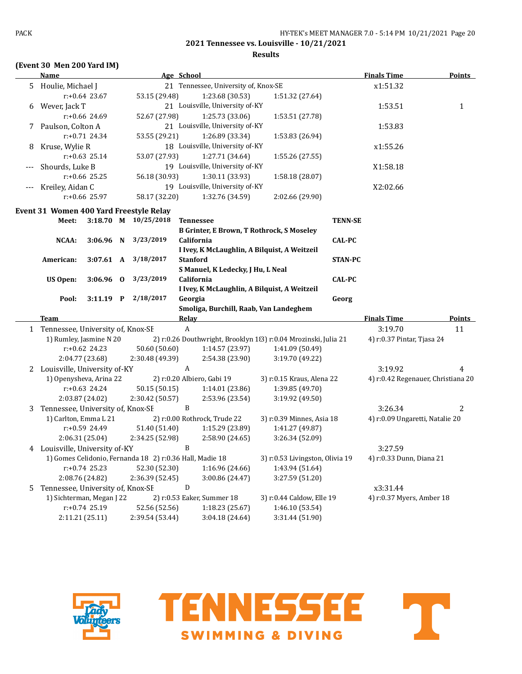## **2021 Tennessee vs. Louisville - 10/21/2021 Results**

#### **(Event 30 Men 200 Yard IM)**

## **Name Age** School **Burney Age School <b>Finals Time Points** 5 Houlie, Michael I 21 Tennessee, University of, Knox-SE  $x1:51.32$ r:+0.64 23.67 53.15 (29.48) 1:23.68 (30.53) 1:51.32 (27.64) 6 Wever, Jack T 21 Louisville, University of-KY 1:53.51 1 1 r:+0.66 24.69 52.67 (27.98) 1:25.73 (33.06) 1:53.51 (27.78) 7 Paulson, Colton A 21 Louisville, University of-KY 1:53.83 r:+0.71 24.34 53.55 (29.21) 1:26.89 (33.34) 1:53.83 (26.94) 8 Kruse, Wylie R 18 Louisville, University of-KY  $x1:55.26$ r:+0.63 25.14 53.07 (27.93) 1:27.71 (34.64) 1:55.26 (27.55) Shourds, Luke B 19 Louisville, University of-KY 19 Louisville, University of AV r:+0.66 25.25 56.18 (30.93) 1:30.11 (33.93) 1:58.18 (28.07) Kreiley, Aidan C 19 Louisville, University of-KY 19 Louisville, University of KY r:+0.66 25.97 58.17 (32.20) 1:32.76 (34.59) 2:02.66 (29.90) **Event 31 Women 400 Yard Freestyle Relay Meet: 3:18.70 M 10/25/2018 Tennessee TENN-SE B Grinter, E Brown, T Rothrock, S Moseley NCAA: 3:06.96 N 3/23/2019 California CAL-PC I Ivey, K McLaughlin, A Bilquist, A Weitzeil American: 3:07.61 A 3/18/2017 Stanford STAN-PC S Manuel, K Ledecky, J Hu, L Neal US Open: 3:06.96 O 3/23/2019 California CAL-PC I Ivey, K McLaughlin, A Bilquist, A Weitzeil Pool: 3:11.19 P 2/18/2017 Georgia Georg Smoliga, Burchill, Raab, Van Landeghem Team Relay Finals Time Points** 1 Tennessee, University of, Knox-SE A 3:19.70 11 1) Rumley, Jasmine N 20 2) r:0.26 Douthwright, Brooklyn 183) r:0.04 Mrozinski, Julia 21 4) r:0.37 Pintar, Tjasa 24 r:+0.62 24.23 50.60 (50.60) 1:14.57 (23.97) 1:41.09 (50.49) 2:04.77 (23.68) 2:30.48 (49.39) 2:54.38 (23.90) 3:19.70 (49.22) 2 Louisville, University of-KY  $A$  A 3:19.92 4 1) Openysheva, Arina 22 2) r:0.20 Albiero, Gabi 19 3) r:0.15 Kraus, Alena 22 4) r:0.42 Regenauer, Christiana 20 r:+0.63 24.24 50.15 (50.15) 1:14.01 (23.86) 1:39.85 (49.70) 2:03.87 (24.02) 2:30.42 (50.57) 2:53.96 (23.54) 3:19.92 (49.50) 3 Tennessee, University of, Knox-SE B 3:26.34 2 1) Carlton, Emma L 21 2) r:0.00 Rothrock, Trude 22 3) r:0.39 Minnes, Asia 18 4) r:0.09 Ungaretti, Natalie 20 r:+0.59 24.49 51.40 (51.40) 1:15.29 (23.89) 1:41.27 (49.87) 2:06.31 (25.04) 2:34.25 (52.98) 2:58.90 (24.65) 3:26.34 (52.09) 4 Louisville, University of-KY B 3:27.59 1) Gomes Celidonio, Fernanda 18 2) r:0.36 Hall, Madie 18 3) r:0.53 Livingston, Olivia 19 4) r:0.33 Dunn, Diana 21 r:+0.74 25.23 52.30 (52.30) 1:16.96 (24.66) 1:43.94 (51.64) 2:08.76 (24.82) 2:36.39 (52.45) 3:00.86 (24.47) 3:27.59 (51.20) 5 Tennessee, University of, Knox-SE D x3:31.44 1) Sichterman, Megan J 22 2) r:0.53 Eaker, Summer 18 3) r:0.44 Caldow, Elle 19 4) r:0.37 Myers, Amber 18 r:+0.74 25.19 52.56 (52.56) 1:18.23 (25.67) 1:46.10 (53.54) 2:11.21 (25.11) 2:39.54 (53.44) 3:04.18 (24.64) 3:31.44 (51.90)



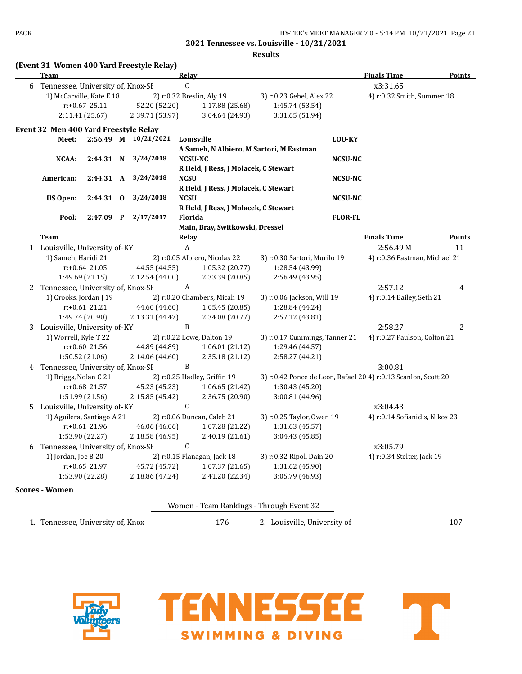|   | <b>Team</b>                                    |                 |  |                                                       | Relay                                                |                               |                | <b>Finals Time</b>                                             | Points        |
|---|------------------------------------------------|-----------------|--|-------------------------------------------------------|------------------------------------------------------|-------------------------------|----------------|----------------------------------------------------------------|---------------|
|   | C<br>6 Tennessee, University of, Knox-SE       |                 |  |                                                       |                                                      |                               |                | x3:31.65                                                       |               |
|   | 1) McCarville, Kate E 18                       |                 |  | 2) r:0.32 Breslin, Aly 19                             |                                                      | 3) r:0.23 Gebel, Alex 22      |                | 4) r:0.32 Smith, Summer 18                                     |               |
|   | $r: +0.67$ 25.11                               |                 |  | 52.20 (52.20)                                         | 1:17.88 (25.68)                                      | 1:45.74 (53.54)               |                |                                                                |               |
|   | 2:11.41 (25.67)                                |                 |  | 2:39.71 (53.97)                                       | 3:04.64 (24.93)                                      | 3:31.65 (51.94)               |                |                                                                |               |
|   | Event 32 Men 400 Yard Freestyle Relay          |                 |  |                                                       |                                                      |                               |                |                                                                |               |
|   | Meet:                                          |                 |  | 2:56.49 M 10/21/2021                                  | Louisville                                           |                               | <b>LOU-KY</b>  |                                                                |               |
|   |                                                |                 |  |                                                       | A Sameh, N Albiero, M Sartori, M Eastman             |                               |                |                                                                |               |
|   | NCAA:                                          | 2:44.31 N       |  | 3/24/2018                                             | <b>NCSU-NC</b>                                       |                               | <b>NCSU-NC</b> |                                                                |               |
|   |                                                |                 |  |                                                       | R Held, J Ress, J Molacek, C Stewart                 |                               |                |                                                                |               |
|   | American:<br>2:44.31 A                         |                 |  | 3/24/2018                                             | <b>NCSU</b>                                          | <b>NCSU-NC</b>                |                |                                                                |               |
|   |                                                |                 |  | R Held, J Ress, J Molacek, C Stewart                  |                                                      |                               |                |                                                                |               |
|   | US Open:                                       | 2:44.31 0       |  | 3/24/2018                                             | <b>NCSU</b>                                          |                               | <b>NCSU-NC</b> |                                                                |               |
|   |                                                |                 |  |                                                       | R Held, J Ress, J Molacek, C Stewart                 |                               |                |                                                                |               |
|   | Pool:                                          | $2:47.09$ P     |  | 2/17/2017                                             | Florida                                              |                               | <b>FLOR-FL</b> |                                                                |               |
|   |                                                |                 |  |                                                       | Main, Bray, Switkowski, Dressel                      |                               |                |                                                                |               |
|   | <b>Team</b>                                    |                 |  |                                                       | <b>Relay</b>                                         |                               |                | <b>Finals Time</b>                                             | <b>Points</b> |
|   | 1 Louisville, University of-KY                 |                 |  |                                                       | $\boldsymbol{A}$                                     |                               |                | 2:56.49M                                                       | 11            |
|   | 1) Sameh, Haridi 21                            |                 |  |                                                       | 2) r:0.05 Albiero, Nicolas 22                        | 3) r:0.30 Sartori, Murilo 19  |                | 4) r:0.36 Eastman, Michael 21                                  |               |
|   | $r: +0.64$ 21.05                               |                 |  | 44.55 (44.55)<br>1:05.32 (20.77)                      |                                                      | 1:28.54 (43.99)               |                |                                                                |               |
|   |                                                | 1:49.69 (21.15) |  | 2:12.54 (44.00)                                       | 2:33.39 (20.85)                                      | 2:56.49 (43.95)               |                |                                                                |               |
|   | 2 Tennessee, University of, Knox-SE            |                 |  |                                                       | A                                                    |                               |                | 2:57.12                                                        | 4             |
|   | 1) Crooks, Jordan J 19                         |                 |  | 2) r:0.20 Chambers, Micah 19                          |                                                      | 3) r:0.06 Jackson, Will 19    |                | 4) r:0.14 Bailey, Seth 21                                      |               |
|   | $r: +0.61$ 21.21                               |                 |  | 44.60 (44.60)<br>1:05.45(20.85)                       |                                                      | 1:28.84 (44.24)               |                |                                                                |               |
|   | 1:49.74 (20.90)                                |                 |  | 2:13.31 (44.47)<br>2:34.08 (20.77)                    |                                                      | 2:57.12 (43.81)               |                |                                                                |               |
|   | 3 Louisville, University of-KY                 |                 |  |                                                       | $\mathbf{B}$                                         |                               |                | 2:58.27                                                        | 2             |
|   | 1) Worrell, Kyle T 22                          |                 |  | 2) r:0.22 Lowe, Dalton 19                             |                                                      | 3) r:0.17 Cummings, Tanner 21 |                | 4) r:0.27 Paulson, Colton 21                                   |               |
|   | $r: +0.60$ 21.56                               |                 |  | 44.89 (44.89)<br>1:06.01(21.12)                       |                                                      | 1:29.46 (44.57)               |                |                                                                |               |
|   | 1:50.52 (21.06)                                |                 |  | 2:14.06 (44.60)<br>2:35.18 (21.12)<br>2:58.27 (44.21) |                                                      |                               |                |                                                                |               |
| 4 | B<br>Tennessee, University of, Knox-SE         |                 |  |                                                       |                                                      |                               |                | 3:00.81                                                        |               |
|   | 1) Briggs, Nolan C 21                          |                 |  |                                                       | 2) r:0.25 Hadley, Griffin 19                         |                               |                | 3) r:0.42 Ponce de Leon, Rafael 20 4) r:0.13 Scanlon, Scott 20 |               |
|   | r:+0.68 21.57                                  |                 |  | 45.23 (45.23)                                         | 1:06.65 (21.42)                                      | 1:30.43 (45.20)               |                |                                                                |               |
|   | 1:51.99 (21.56)                                |                 |  | 2:15.85 (45.42)                                       | 2:36.75 (20.90)                                      | 3:00.81 (44.96)               |                |                                                                |               |
|   | $\mathsf{C}$<br>5 Louisville, University of-KY |                 |  |                                                       |                                                      |                               |                | x3:04.43                                                       |               |
|   | 1) Aguilera, Santiago A 21                     |                 |  |                                                       | 2) r:0.06 Duncan, Caleb 21                           | 3) r:0.25 Taylor, Owen 19     |                | 4) r:0.14 Sofianidis, Nikos 23                                 |               |
|   | r:+0.61 21.96                                  |                 |  | 46.06 (46.06)                                         | 1:07.28(21.22)<br>1:31.63 (45.57)<br>2:40.19 (21.61) |                               |                |                                                                |               |
|   | 1:53.90 (22.27)<br>2:18.58 (46.95)             |                 |  |                                                       |                                                      | 3:04.43 (45.85)               |                |                                                                |               |
| b | C<br>Tennessee, University of, Knox-SE         |                 |  |                                                       |                                                      |                               |                | x3:05.79                                                       |               |
|   | 1) Jordan, Joe B 20                            |                 |  | 2) r:0.15 Flanagan, Jack 18                           |                                                      | 3) r:0.32 Ripol, Dain 20      |                | 4) r:0.34 Stelter, Jack 19                                     |               |
|   | $r: +0.65$ 21.97                               |                 |  | 45.72 (45.72)                                         | 1:07.37(21.65)                                       | 1:31.62 (45.90)               |                |                                                                |               |
|   |                                                | 1:53.90 (22.28) |  | 2:18.86 (47.24)                                       | 2:41.20 (22.34)                                      | 3:05.79 (46.93)               |                |                                                                |               |

1. Tennessee, University of, Knox 176 2. Louisville, University of 107